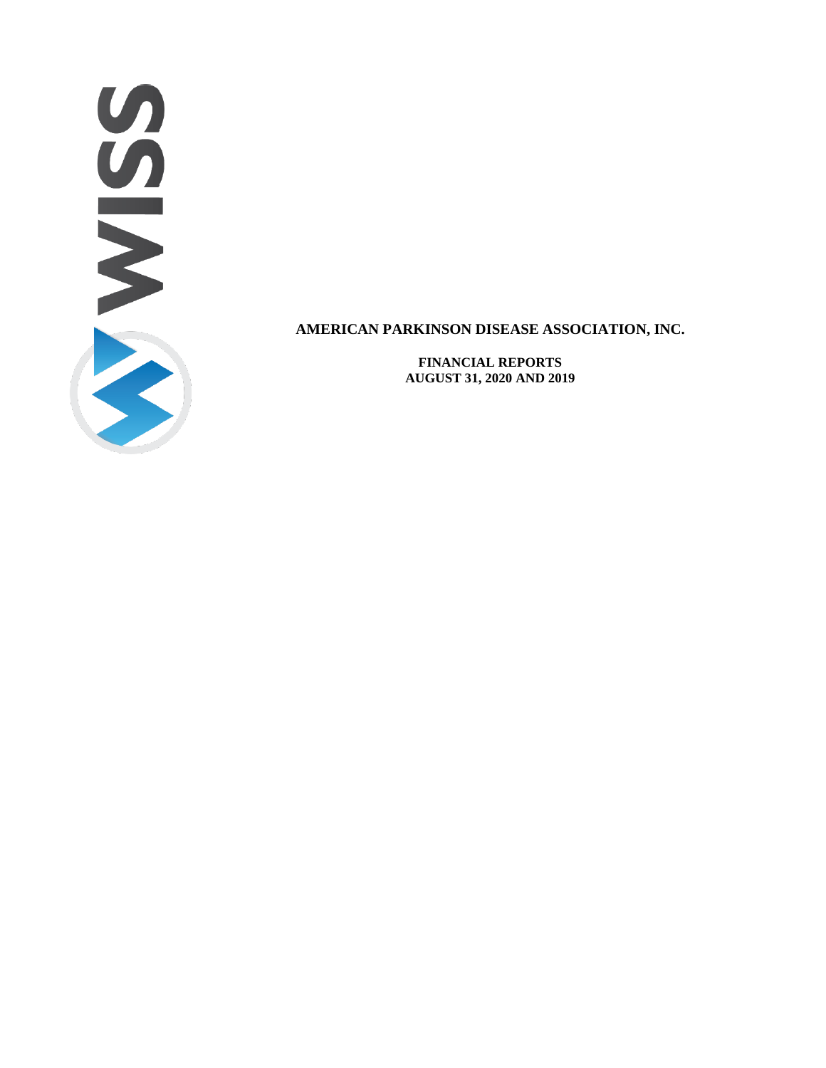

**FINANCIAL REPORTS AUGUST 31, 2020 AND 2019**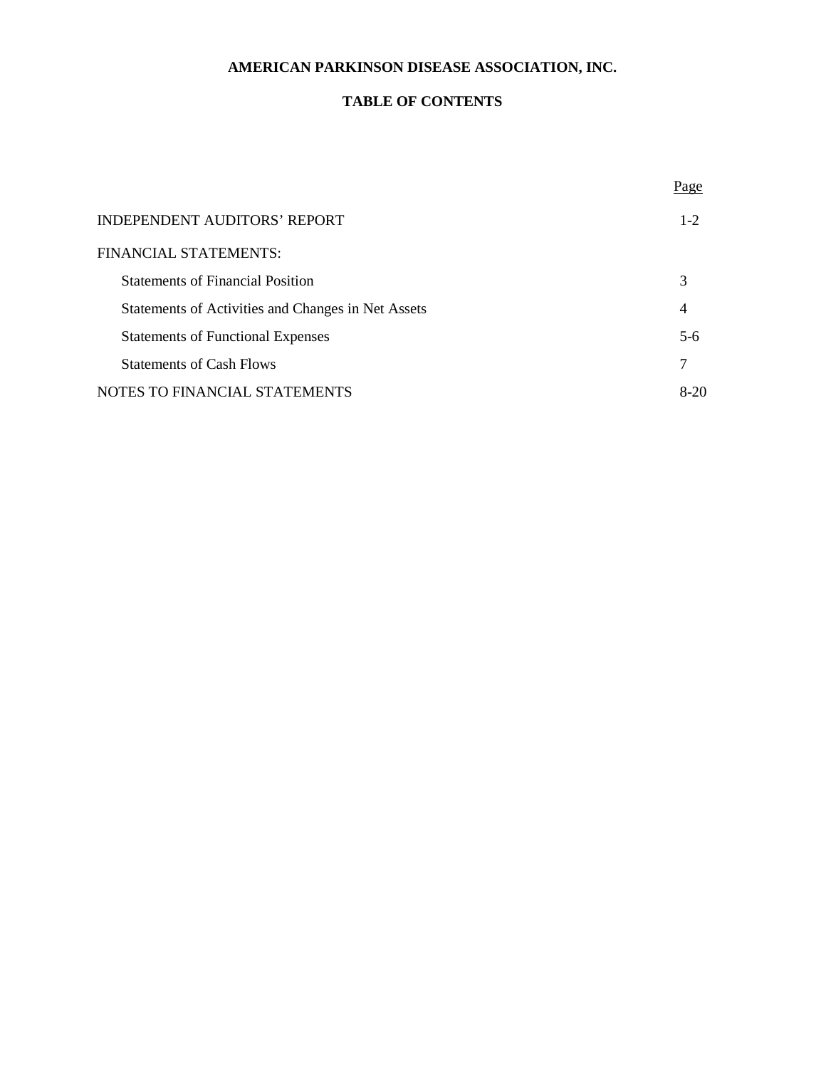## **TABLE OF CONTENTS**

|                                                    | Page    |
|----------------------------------------------------|---------|
| <b>INDEPENDENT AUDITORS' REPORT</b>                | $1 - 2$ |
| FINANCIAL STATEMENTS:                              |         |
| <b>Statements of Financial Position</b>            | 3       |
| Statements of Activities and Changes in Net Assets | 4       |
| <b>Statements of Functional Expenses</b>           | $5-6$   |
| <b>Statements of Cash Flows</b>                    | 7       |
| NOTES TO FINANCIAL STATEMENTS                      | $8-20$  |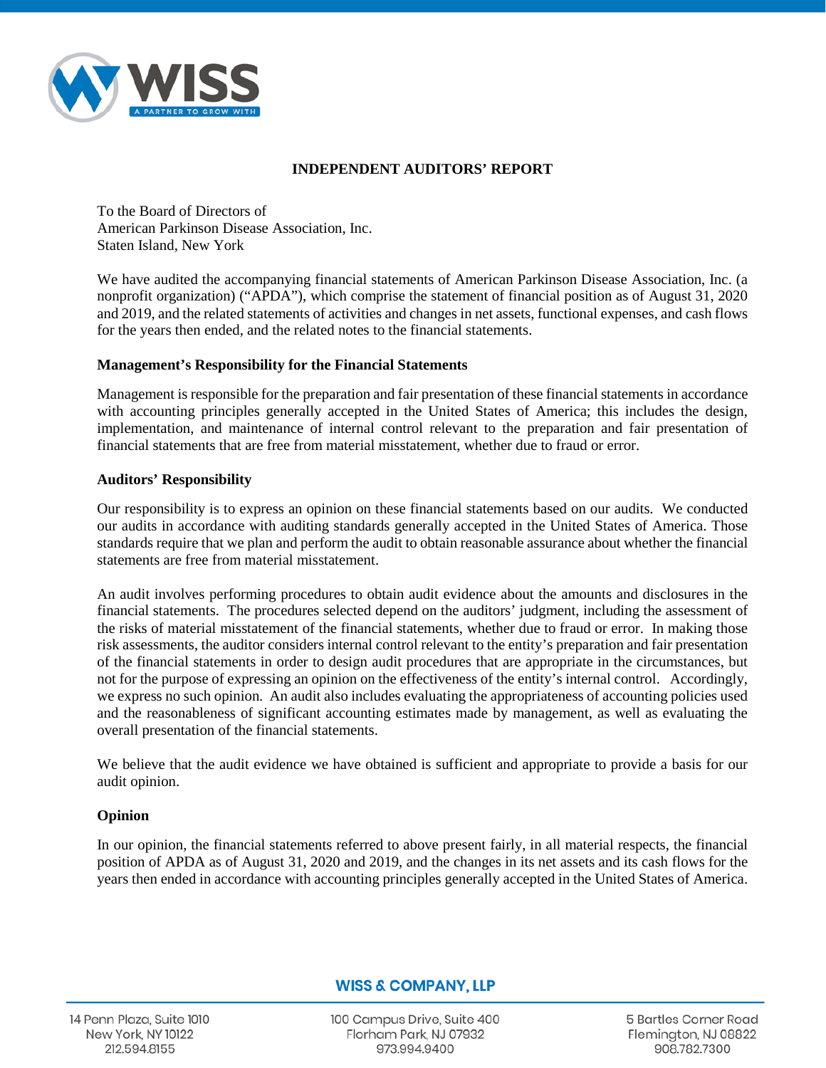

## **INDEPENDENT AUDITORS' REPORT**

To the Board of Directors of American Parkinson Disease Association, Inc. Staten Island, New York

We have audited the accompanying financial statements of American Parkinson Disease Association, Inc. (a nonprofit organization) ("APDA"), which comprise the statement of financial position as of August 31, 2020 and 2019, and the related statements of activities and changes in net assets, functional expenses, and cash flows for the years then ended, and the related notes to the financial statements.

## **Management's Responsibility for the Financial Statements**

Management is responsible for the preparation and fair presentation of these financial statements in accordance with accounting principles generally accepted in the United States of America; this includes the design, implementation, and maintenance of internal control relevant to the preparation and fair presentation of financial statements that are free from material misstatement, whether due to fraud or error.

## **Auditors' Responsibility**

Our responsibility is to express an opinion on these financial statements based on our audits. We conducted our audits in accordance with auditing standards generally accepted in the United States of America. Those standards require that we plan and perform the audit to obtain reasonable assurance about whether the financial statements are free from material misstatement.

An audit involves performing procedures to obtain audit evidence about the amounts and disclosures in the financial statements. The procedures selected depend on the auditors' judgment, including the assessment of the risks of material misstatement of the financial statements, whether due to fraud or error. In making those risk assessments, the auditor considers internal control relevant to the entity's preparation and fair presentation of the financial statements in order to design audit procedures that are appropriate in the circumstances, but not for the purpose of expressing an opinion on the effectiveness of the entity's internal control. Accordingly, we express no such opinion. An audit also includes evaluating the appropriateness of accounting policies used and the reasonableness of significant accounting estimates made by management, as well as evaluating the overall presentation of the financial statements.

We believe that the audit evidence we have obtained is sufficient and appropriate to provide a basis for our audit opinion.

## **Opinion**

In our opinion, the financial statements referred to above present fairly, in all material respects, the financial position of APDA as of August 31, 2020 and 2019, and the changes in its net assets and its cash flows for the years then ended in accordance with accounting principles generally accepted in the United States of America.

# **WISS & COMPANY, LLP**

14 Penn Plaza, Suite 1010 **New York, NY 10122** 212.594.8155

100 Campus Drive, Suite 400 Florham Park, NJ 07932 973.994.9400

**5 Bartles Corner Road** Flemington, NJ 08822 908.782.7300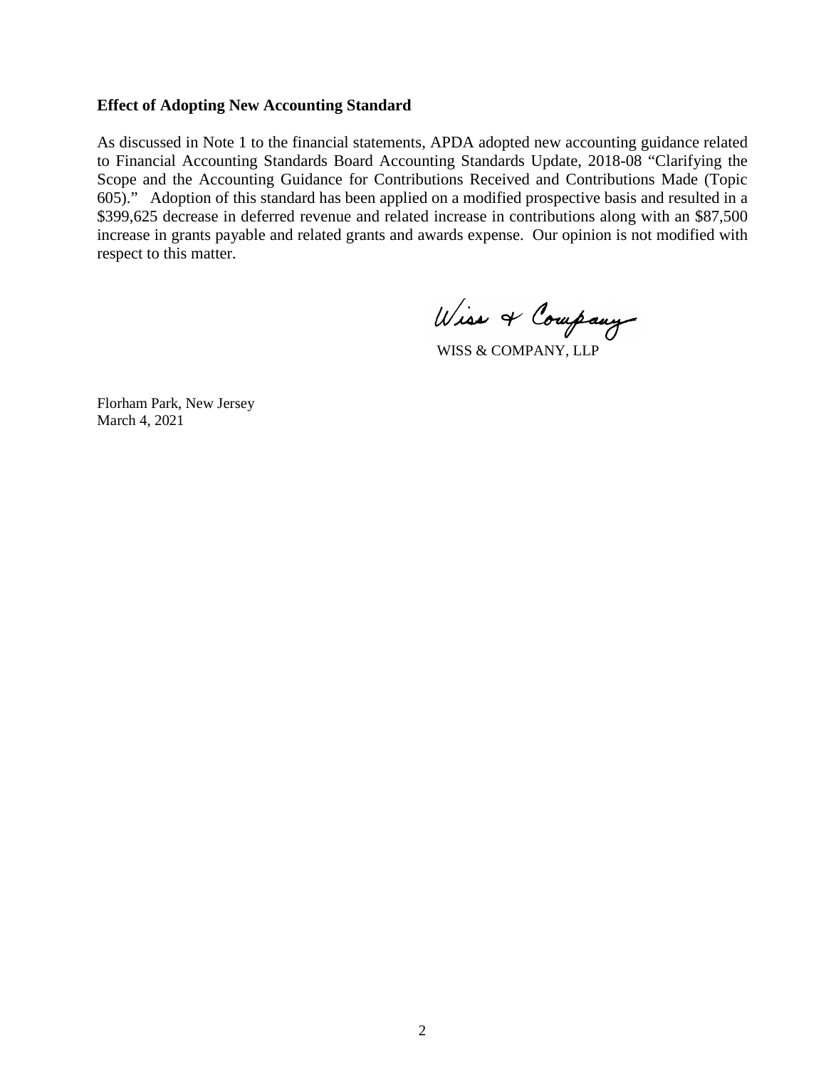## **Effect of Adopting New Accounting Standard**

As discussed in Note 1 to the financial statements, APDA adopted new accounting guidance related to Financial Accounting Standards Board Accounting Standards Update, 2018-08 "Clarifying the Scope and the Accounting Guidance for Contributions Received and Contributions Made (Topic 605)." Adoption of this standard has been applied on a modified prospective basis and resulted in a \$399,625 decrease in deferred revenue and related increase in contributions along with an \$87,500 increase in grants payable and related grants and awards expense. Our opinion is not modified with respect to this matter.

Wiss & Company

WISS & COMPANY, LLP

Florham Park, New Jersey March 4, 2021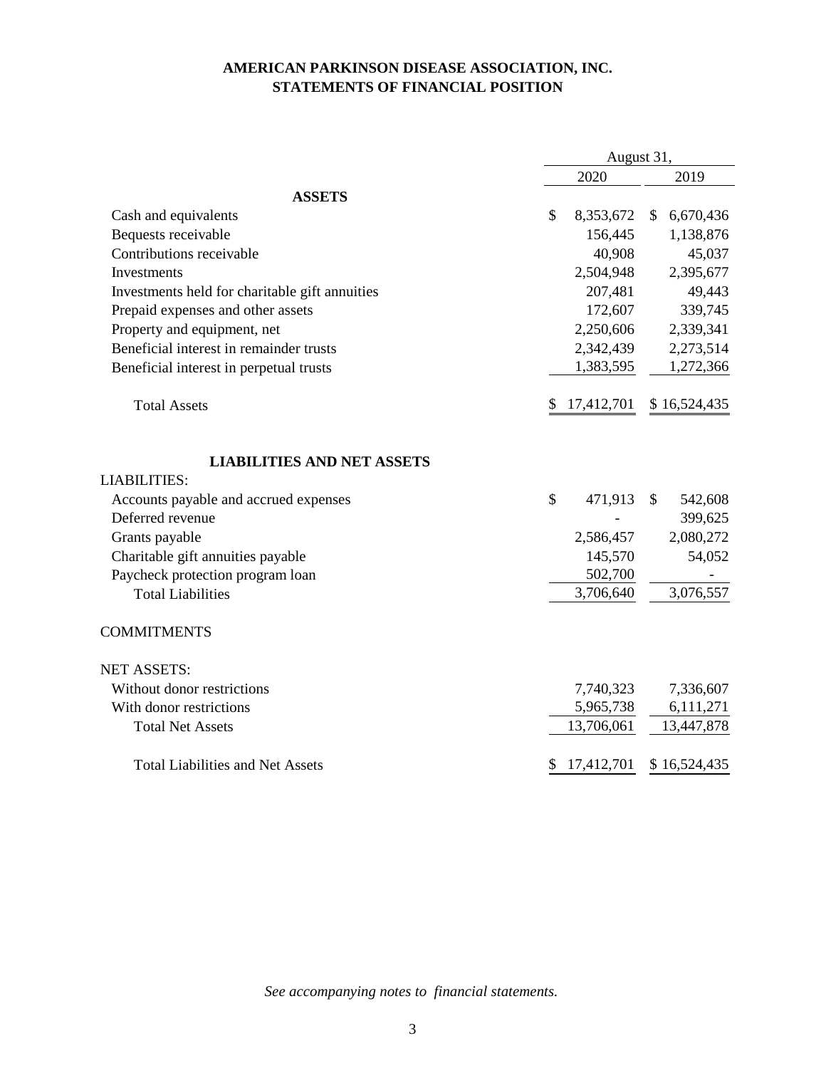# **AMERICAN PARKINSON DISEASE ASSOCIATION, INC. STATEMENTS OF FINANCIAL POSITION**

|                                                          | August 31,               |                 |  |  |  |
|----------------------------------------------------------|--------------------------|-----------------|--|--|--|
|                                                          | 2020                     | 2019            |  |  |  |
| <b>ASSETS</b>                                            |                          |                 |  |  |  |
| Cash and equivalents                                     | \$<br>8,353,672          | 6,670,436<br>\$ |  |  |  |
| Bequests receivable                                      | 156,445                  | 1,138,876       |  |  |  |
| Contributions receivable                                 | 40,908                   | 45,037          |  |  |  |
| Investments                                              | 2,504,948                | 2,395,677       |  |  |  |
| Investments held for charitable gift annuities           | 207,481                  | 49,443          |  |  |  |
| Prepaid expenses and other assets                        | 172,607                  | 339,745         |  |  |  |
| Property and equipment, net                              | 2,250,606                | 2,339,341       |  |  |  |
| Beneficial interest in remainder trusts                  | 2,342,439                | 2,273,514       |  |  |  |
| Beneficial interest in perpetual trusts                  | 1,383,595                | 1,272,366       |  |  |  |
| <b>Total Assets</b>                                      | 17,412,701<br>\$         | \$16,524,435    |  |  |  |
| <b>LIABILITIES AND NET ASSETS</b><br><b>LIABILITIES:</b> |                          |                 |  |  |  |
| Accounts payable and accrued expenses                    | $\mathcal{S}$<br>471,913 | 542,608<br>\$   |  |  |  |
| Deferred revenue                                         |                          | 399,625         |  |  |  |
| Grants payable                                           | 2,586,457                | 2,080,272       |  |  |  |
| Charitable gift annuities payable                        | 145,570                  | 54,052          |  |  |  |
| Paycheck protection program loan                         | 502,700                  |                 |  |  |  |
| <b>Total Liabilities</b>                                 | 3,706,640                | 3,076,557       |  |  |  |
|                                                          |                          |                 |  |  |  |
| <b>COMMITMENTS</b>                                       |                          |                 |  |  |  |
| <b>NET ASSETS:</b>                                       |                          |                 |  |  |  |
| Without donor restrictions                               | 7,740,323                | 7,336,607       |  |  |  |
| With donor restrictions                                  | 5,965,738                | 6,111,271       |  |  |  |
| <b>Total Net Assets</b>                                  | 13,706,061               | 13,447,878      |  |  |  |
| <b>Total Liabilities and Net Assets</b>                  | 17,412,701<br>S          | \$16,524,435    |  |  |  |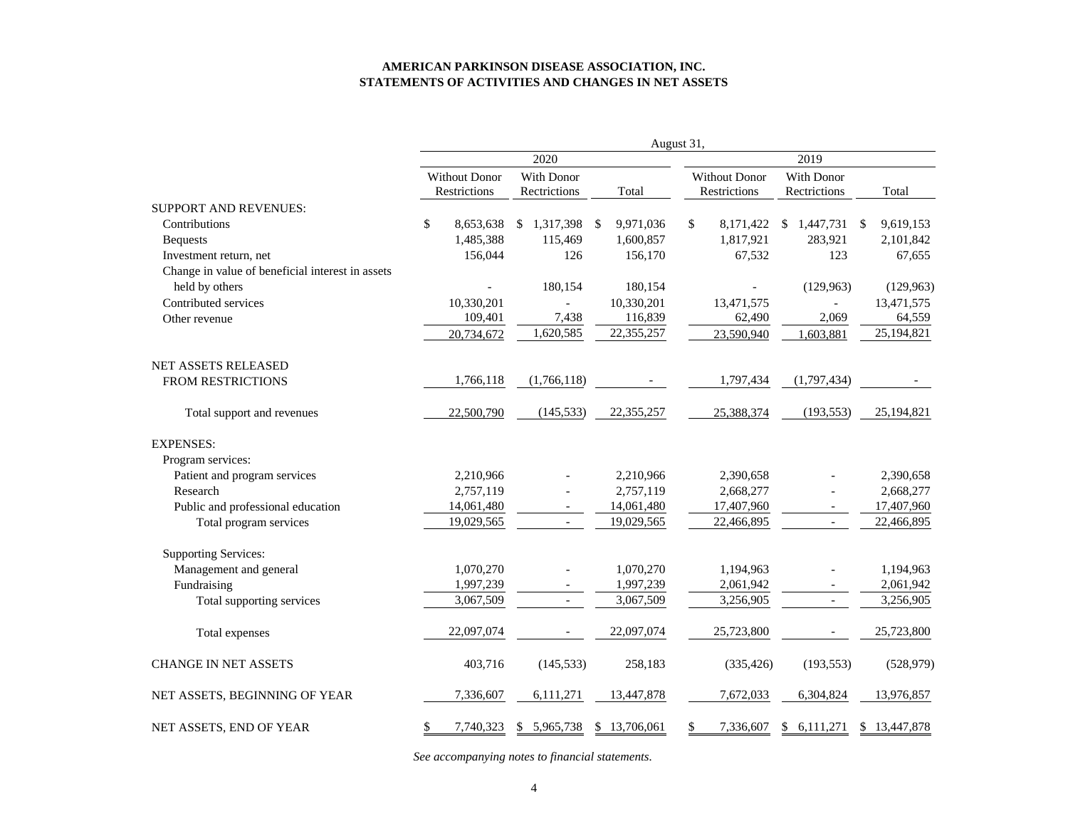#### **AMERICAN PARKINSON DISEASE ASSOCIATION, INC. STATEMENTS OF ACTIVITIES AND CHANGES IN NET ASSETS**

|                                                  | August 31, |                                      |    |                            |      |            |    |                                      |    |                            |  |              |
|--------------------------------------------------|------------|--------------------------------------|----|----------------------------|------|------------|----|--------------------------------------|----|----------------------------|--|--------------|
|                                                  |            |                                      |    | 2020                       |      |            |    |                                      |    | 2019                       |  |              |
|                                                  |            | <b>Without Donor</b><br>Restrictions |    | With Donor<br>Rectrictions |      | Total      |    | <b>Without Donor</b><br>Restrictions |    | With Donor<br>Rectrictions |  | Total        |
| <b>SUPPORT AND REVENUES:</b>                     |            |                                      |    |                            |      |            |    |                                      |    |                            |  |              |
| Contributions                                    | \$         | 8,653,638                            | S. | 1,317,398                  | - \$ | 9,971,036  | \$ | 8,171,422                            |    | $$1,447,731$ \;            |  | 9,619,153    |
| <b>Bequests</b>                                  |            | 1,485,388                            |    | 115,469                    |      | 1,600,857  |    | 1,817,921                            |    | 283,921                    |  | 2,101,842    |
| Investment return, net                           |            | 156,044                              |    | 126                        |      | 156,170    |    | 67,532                               |    | 123                        |  | 67,655       |
| Change in value of beneficial interest in assets |            |                                      |    |                            |      |            |    |                                      |    |                            |  |              |
| held by others                                   |            |                                      |    | 180,154                    |      | 180,154    |    |                                      |    | (129, 963)                 |  | (129, 963)   |
| Contributed services                             |            | 10,330,201                           |    | $\overline{a}$             |      | 10,330,201 |    | 13,471,575                           |    |                            |  | 13,471,575   |
| Other revenue                                    |            | 109,401                              |    | 7,438                      |      | 116,839    |    | 62,490                               |    | 2,069                      |  | 64,559       |
|                                                  |            | 20,734,672                           |    | 1,620,585                  |      | 22,355,257 |    | 23.590.940                           |    | 1,603,881                  |  | 25,194,821   |
| NET ASSETS RELEASED                              |            |                                      |    |                            |      |            |    |                                      |    |                            |  |              |
| FROM RESTRICTIONS                                |            | 1,766,118                            |    | (1,766,118)                |      |            |    | 1,797,434                            |    | (1,797,434)                |  |              |
| Total support and revenues                       |            | 22,500,790                           |    | (145, 533)                 |      | 22,355,257 |    | 25,388,374                           |    | (193, 553)                 |  | 25,194,821   |
| <b>EXPENSES:</b>                                 |            |                                      |    |                            |      |            |    |                                      |    |                            |  |              |
| Program services:                                |            |                                      |    |                            |      |            |    |                                      |    |                            |  |              |
| Patient and program services                     |            | 2,210,966                            |    |                            |      | 2,210,966  |    | 2,390,658                            |    |                            |  | 2,390,658    |
| Research                                         |            | 2,757,119                            |    |                            |      | 2,757,119  |    | 2,668,277                            |    |                            |  | 2,668,277    |
| Public and professional education                |            | 14,061,480                           |    | $\overline{\phantom{a}}$   |      | 14,061,480 |    | 17,407,960                           |    |                            |  | 17,407,960   |
| Total program services                           |            | 19,029,565                           |    | $\overline{\phantom{0}}$   |      | 19,029,565 |    | 22,466,895                           |    |                            |  | 22,466,895   |
| <b>Supporting Services:</b>                      |            |                                      |    |                            |      |            |    |                                      |    |                            |  |              |
| Management and general                           |            | 1,070,270                            |    |                            |      | 1,070,270  |    | 1,194,963                            |    |                            |  | 1,194,963    |
| Fundraising                                      |            | 1,997,239                            |    |                            |      | 1,997,239  |    | 2,061,942                            |    |                            |  | 2,061,942    |
| Total supporting services                        |            | 3,067,509                            |    | $\mathbb{L}^+$             |      | 3,067,509  |    | 3,256,905                            |    | $\mathbb{Z}^{\mathbb{Z}}$  |  | 3,256,905    |
| Total expenses                                   |            | 22,097,074                           |    |                            |      | 22,097,074 |    | 25,723,800                           |    |                            |  | 25,723,800   |
| <b>CHANGE IN NET ASSETS</b>                      |            | 403,716                              |    | (145, 533)                 |      | 258,183    |    | (335, 426)                           |    | (193, 553)                 |  | (528, 979)   |
| NET ASSETS, BEGINNING OF YEAR                    |            | 7,336,607                            |    | 6,111,271                  |      | 13,447,878 |    | 7,672,033                            |    | 6,304,824                  |  | 13,976,857   |
| NET ASSETS, END OF YEAR                          | \$         | 7,740,323                            |    | \$5,965,738                | \$   | 13,706,061 | S  | 7,336,607                            | \$ | 6,111,271                  |  | \$13,447,878 |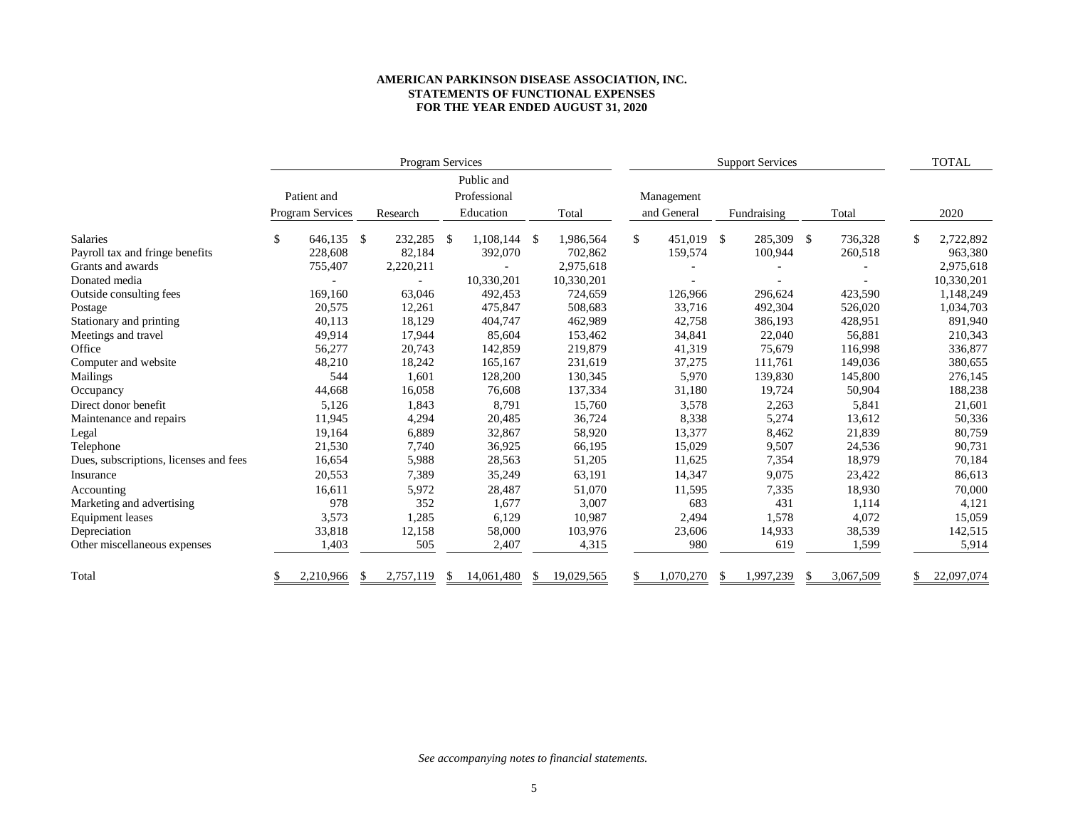#### **AMERICAN PARKINSON DISEASE ASSOCIATION, INC. STATEMENTS OF FUNCTIONAL EXPENSES FOR THE YEAR ENDED AUGUST 31, 2020**

|                                        |    |                                        |                                                     | Program Services |     |            |              |                           | <b>Support Services</b> |             |    |           |               |           |      | <b>TOTAL</b> |
|----------------------------------------|----|----------------------------------------|-----------------------------------------------------|------------------|-----|------------|--------------|---------------------------|-------------------------|-------------|----|-----------|---------------|-----------|------|--------------|
|                                        |    | Patient and<br><b>Program Services</b> | Public and<br>Professional<br>Education<br>Research |                  |     | Total      |              | Management<br>and General |                         | Fundraising |    |           | Total         |           | 2020 |              |
| <b>Salaries</b>                        | -S | 646,135                                | -\$                                                 | 232,285          | -\$ | 1,108,144  | -\$          | 1,986,564                 | \$                      | 451,019     | -S | 285,309   | <sup>\$</sup> | 736,328   | \$.  | 2,722,892    |
| Payroll tax and fringe benefits        |    | 228,608                                |                                                     | 82,184           |     | 392,070    |              | 702,862                   |                         | 159,574     |    | 100,944   |               | 260,518   |      | 963,380      |
| Grants and awards                      |    | 755,407                                |                                                     | 2,220,211        |     |            |              | 2,975,618                 |                         |             |    |           |               |           |      | 2,975,618    |
| Donated media                          |    |                                        |                                                     |                  |     | 10,330,201 |              | 10,330,201                |                         |             |    |           |               |           |      | 10,330,201   |
| Outside consulting fees                |    | 169,160                                |                                                     | 63,046           |     | 492,453    |              | 724,659                   |                         | 126,966     |    | 296,624   |               | 423,590   |      | 1,148,249    |
| Postage                                |    | 20,575                                 |                                                     | 12,261           |     | 475,847    |              | 508,683                   |                         | 33,716      |    | 492,304   |               | 526,020   |      | 1,034,703    |
| Stationary and printing                |    | 40,113                                 |                                                     | 18,129           |     | 404,747    |              | 462,989                   |                         | 42,758      |    | 386,193   |               | 428,951   |      | 891,940      |
| Meetings and travel                    |    | 49,914                                 |                                                     | 17,944           |     | 85,604     |              | 153,462                   |                         | 34,841      |    | 22,040    |               | 56,881    |      | 210,343      |
| Office                                 |    | 56,277                                 |                                                     | 20,743           |     | 142,859    |              | 219,879                   |                         | 41,319      |    | 75,679    |               | 116,998   |      | 336,877      |
| Computer and website                   |    | 48,210                                 |                                                     | 18,242           |     | 165,167    |              | 231,619                   |                         | 37,275      |    | 111,761   |               | 149,036   |      | 380,655      |
| <b>Mailings</b>                        |    | 544                                    |                                                     | 1,601            |     | 128,200    |              | 130,345                   |                         | 5,970       |    | 139,830   |               | 145,800   |      | 276,145      |
| Occupancy                              |    | 44,668                                 |                                                     | 16,058           |     | 76,608     |              | 137,334                   |                         | 31,180      |    | 19,724    |               | 50,904    |      | 188,238      |
| Direct donor benefit                   |    | 5,126                                  |                                                     | 1,843            |     | 8,791      |              | 15,760                    |                         | 3,578       |    | 2,263     |               | 5,841     |      | 21,601       |
| Maintenance and repairs                |    | 11,945                                 |                                                     | 4,294            |     | 20,485     |              | 36,724                    |                         | 8,338       |    | 5,274     |               | 13,612    |      | 50,336       |
| Legal                                  |    | 19,164                                 |                                                     | 6,889            |     | 32,867     |              | 58,920                    |                         | 13,377      |    | 8,462     |               | 21,839    |      | 80,759       |
| Telephone                              |    | 21,530                                 |                                                     | 7,740            |     | 36,925     |              | 66,195                    |                         | 15,029      |    | 9,507     |               | 24,536    |      | 90,731       |
| Dues, subscriptions, licenses and fees |    | 16,654                                 |                                                     | 5,988            |     | 28,563     |              | 51,205                    |                         | 11,625      |    | 7,354     |               | 18,979    |      | 70,184       |
| Insurance                              |    | 20,553                                 |                                                     | 7,389            |     | 35,249     |              | 63,191                    |                         | 14,347      |    | 9,075     |               | 23,422    |      | 86,613       |
| Accounting                             |    | 16,611                                 |                                                     | 5,972            |     | 28,487     |              | 51,070                    |                         | 11,595      |    | 7,335     |               | 18,930    |      | 70,000       |
| Marketing and advertising              |    | 978                                    |                                                     | 352              |     | 1,677      |              | 3,007                     |                         | 683         |    | 431       |               | 1,114     |      | 4,121        |
| <b>Equipment</b> leases                |    | 3,573                                  |                                                     | 1,285            |     | 6,129      |              | 10,987                    |                         | 2,494       |    | 1,578     |               | 4,072     |      | 15,059       |
| Depreciation                           |    | 33,818                                 |                                                     | 12,158           |     | 58,000     |              | 103,976                   |                         | 23,606      |    | 14,933    |               | 38,539    |      | 142,515      |
| Other miscellaneous expenses           |    | 1,403                                  |                                                     | 505              |     | 2,407      |              | 4,315                     |                         | 980         |    | 619       |               | 1,599     |      | 5,914        |
| Total                                  |    | 2,210,966                              | -S                                                  | 2,757,119        | -S  | 14,061,480 | <sup>S</sup> | 19,029,565                |                         | 1,070,270   | -S | 1,997,239 | <sup>\$</sup> | 3,067,509 |      | 22,097,074   |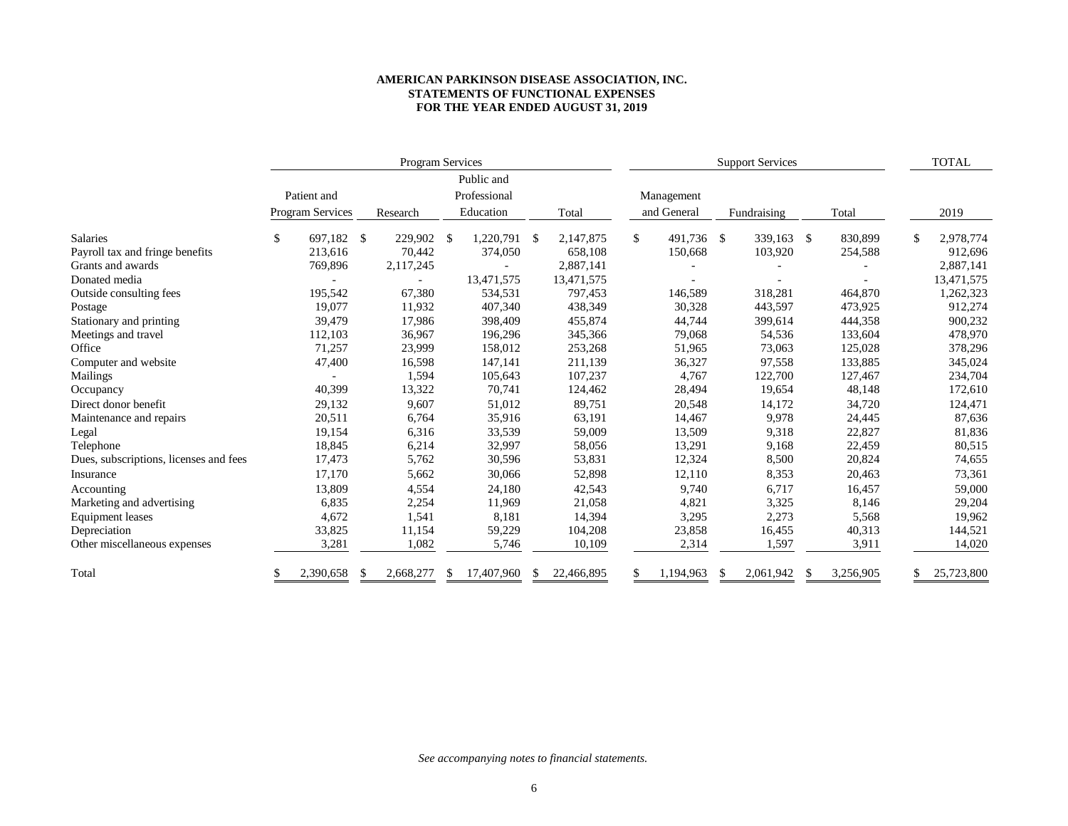#### **AMERICAN PARKINSON DISEASE ASSOCIATION, INC. STATEMENTS OF FUNCTIONAL EXPENSES FOR THE YEAR ENDED AUGUST 31, 2019**

|                                        |     |                         |     | Program Services |    |                            |               |            | <b>Support Services</b>   |            |  |                           |         |              |           | <b>TOTAL</b> |            |
|----------------------------------------|-----|-------------------------|-----|------------------|----|----------------------------|---------------|------------|---------------------------|------------|--|---------------------------|---------|--------------|-----------|--------------|------------|
|                                        |     | Patient and             |     |                  |    | Public and<br>Professional |               |            | Management<br>and General |            |  |                           |         |              |           |              |            |
|                                        |     | <b>Program Services</b> |     | Research         |    | Education                  |               | Total      |                           |            |  | Fundraising               |         |              | Total     | 2019         |            |
| <b>Salaries</b>                        | \$. | 697,182                 | -\$ | 229,902          | \$ | 1,220,791                  | <sup>\$</sup> | 2,147,875  | \$                        | 491,736 \$ |  |                           | 339,163 | $\mathbb{S}$ | 830,899   | \$           | 2,978,774  |
| Payroll tax and fringe benefits        |     | 213,616                 |     | 70,442           |    | 374,050                    |               | 658,108    |                           | 150,668    |  |                           | 103,920 |              | 254,588   |              | 912,696    |
| Grants and awards                      |     | 769,896                 |     | 2,117,245        |    |                            |               | 2,887,141  |                           |            |  |                           |         |              |           |              | 2,887,141  |
| Donated media                          |     |                         |     |                  |    | 13,471,575                 |               | 13,471,575 |                           |            |  |                           |         |              |           |              | 13,471,575 |
| Outside consulting fees                |     | 195,542                 |     | 67,380           |    | 534,531                    |               | 797,453    |                           | 146,589    |  | 318,281                   |         |              | 464,870   |              | 1,262,323  |
| Postage                                |     | 19,077                  |     | 11,932           |    | 407,340                    |               | 438,349    |                           | 30,328     |  | 443,597                   |         |              | 473,925   |              | 912,274    |
| Stationary and printing                |     | 39,479                  |     | 17,986           |    | 398,409                    |               | 455,874    |                           | 44,744     |  |                           | 399,614 |              | 444,358   |              | 900,232    |
| Meetings and travel                    |     | 112,103                 |     | 36,967           |    | 196,296                    |               | 345,366    |                           | 79,068     |  |                           | 54,536  |              | 133,604   |              | 478,970    |
| Office                                 |     | 71,257                  |     | 23,999           |    | 158,012                    |               | 253,268    |                           | 51,965     |  |                           | 73,063  |              | 125,028   |              | 378,296    |
| Computer and website                   |     | 47,400                  |     | 16,598           |    | 147,141                    |               | 211,139    |                           | 36,327     |  |                           | 97,558  |              | 133,885   |              | 345,024    |
| <b>Mailings</b>                        |     |                         |     | 1,594            |    | 105,643                    |               | 107,237    |                           | 4,767      |  |                           | 122,700 |              | 127,467   |              | 234,704    |
| Occupancy                              |     | 40,399                  |     | 13,322           |    | 70,741                     |               | 124,462    |                           | 28,494     |  |                           | 19,654  |              | 48,148    |              | 172,610    |
| Direct donor benefit                   |     | 29,132                  |     | 9,607            |    | 51,012                     |               | 89,751     |                           | 20,548     |  |                           | 14,172  |              | 34,720    |              | 124,471    |
| Maintenance and repairs                |     | 20,511                  |     | 6,764            |    | 35,916                     |               | 63,191     |                           | 14,467     |  |                           | 9,978   |              | 24,445    |              | 87,636     |
| Legal                                  |     | 19,154                  |     | 6,316            |    | 33,539                     |               | 59,009     |                           | 13,509     |  |                           | 9,318   |              | 22,827    |              | 81,836     |
| Telephone                              |     | 18,845                  |     | 6,214            |    | 32,997                     |               | 58,056     |                           | 13,291     |  |                           | 9,168   |              | 22,459    |              | 80,515     |
| Dues, subscriptions, licenses and fees |     | 17,473                  |     | 5,762            |    | 30,596                     |               | 53,831     |                           | 12,324     |  |                           | 8,500   |              | 20,824    |              | 74,655     |
| Insurance                              |     | 17,170                  |     | 5,662            |    | 30,066                     |               | 52,898     |                           | 12,110     |  |                           | 8,353   |              | 20,463    |              | 73,361     |
| Accounting                             |     | 13,809                  |     | 4,554            |    | 24,180                     |               | 42,543     |                           | 9,740      |  |                           | 6,717   |              | 16,457    |              | 59,000     |
| Marketing and advertising              |     | 6,835                   |     | 2,254            |    | 11,969                     |               | 21,058     |                           | 4,821      |  |                           | 3,325   |              | 8,146     |              | 29,204     |
| Equipment leases                       |     | 4,672                   |     | 1,541            |    | 8,181                      |               | 14,394     |                           | 3,295      |  |                           | 2,273   |              | 5,568     |              | 19,962     |
| Depreciation                           |     | 33,825                  |     | 11,154           |    | 59,229                     |               | 104,208    |                           | 23,858     |  |                           | 16,455  |              | 40,313    |              | 144,521    |
| Other miscellaneous expenses           |     | 3,281                   |     | 1,082            |    | 5,746                      |               | 10,109     |                           | 2,314      |  |                           | 1,597   |              | 3,911     |              | 14,020     |
| Total                                  |     | 2,390,658               | -S  | 2,668,277        | S  | 17,407,960                 | S             | 22,466,895 |                           | 1,194,963  |  | 2,061,942<br><sup>8</sup> |         | S            | 3,256,905 |              | 25,723,800 |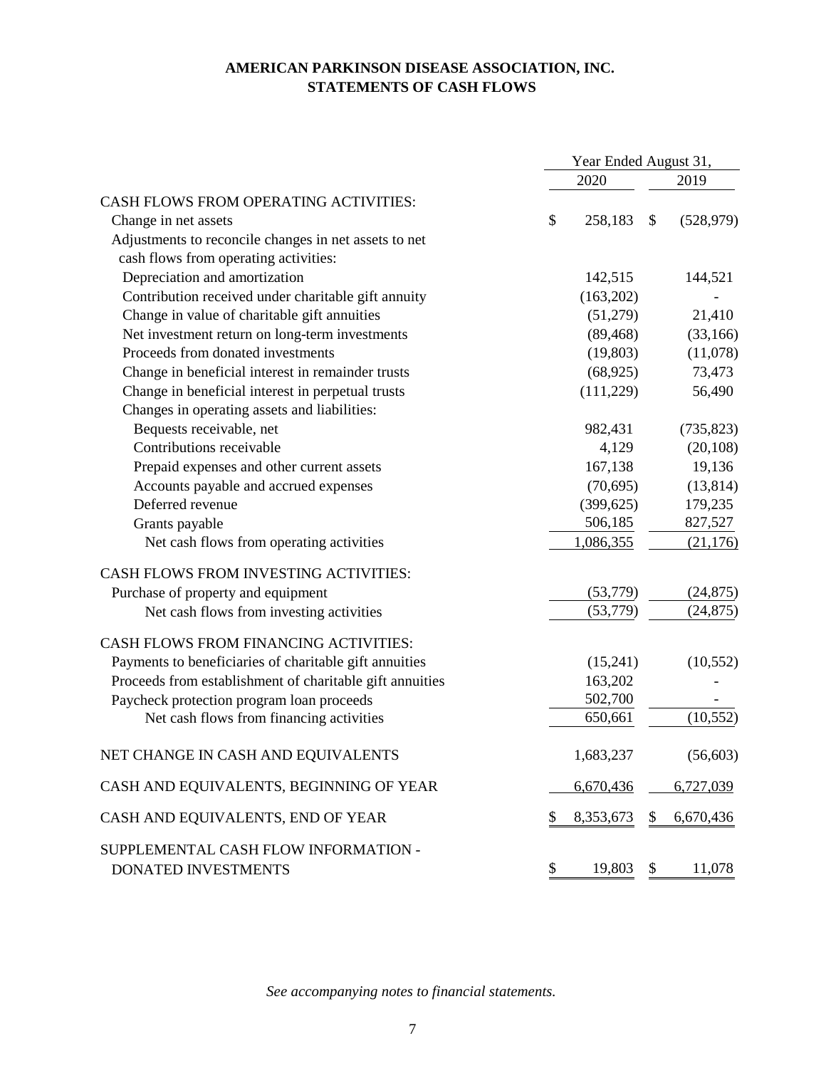# **AMERICAN PARKINSON DISEASE ASSOCIATION, INC. STATEMENTS OF CASH FLOWS**

|                                                          | Year Ended August 31, |            |                           |            |
|----------------------------------------------------------|-----------------------|------------|---------------------------|------------|
|                                                          |                       | 2020       |                           | 2019       |
| <b>CASH FLOWS FROM OPERATING ACTIVITIES:</b>             |                       |            |                           |            |
| Change in net assets                                     | \$                    | 258,183    | \$                        | (528, 979) |
| Adjustments to reconcile changes in net assets to net    |                       |            |                           |            |
| cash flows from operating activities:                    |                       |            |                           |            |
| Depreciation and amortization                            |                       | 142,515    |                           | 144,521    |
| Contribution received under charitable gift annuity      |                       | (163,202)  |                           |            |
| Change in value of charitable gift annuities             |                       | (51,279)   |                           | 21,410     |
| Net investment return on long-term investments           |                       | (89, 468)  |                           | (33, 166)  |
| Proceeds from donated investments                        |                       | (19, 803)  |                           | (11,078)   |
| Change in beneficial interest in remainder trusts        |                       | (68, 925)  |                           | 73,473     |
| Change in beneficial interest in perpetual trusts        |                       | (111, 229) |                           | 56,490     |
| Changes in operating assets and liabilities:             |                       |            |                           |            |
| Bequests receivable, net                                 |                       | 982,431    |                           | (735, 823) |
| Contributions receivable                                 |                       | 4,129      |                           | (20, 108)  |
| Prepaid expenses and other current assets                |                       | 167,138    |                           | 19,136     |
| Accounts payable and accrued expenses                    |                       | (70, 695)  |                           | (13, 814)  |
| Deferred revenue                                         |                       | (399, 625) |                           | 179,235    |
| Grants payable                                           |                       | 506,185    |                           | 827,527    |
| Net cash flows from operating activities                 |                       | 1,086,355  |                           | (21, 176)  |
| <b>CASH FLOWS FROM INVESTING ACTIVITIES:</b>             |                       |            |                           |            |
| Purchase of property and equipment                       |                       | (53, 779)  |                           | (24, 875)  |
| Net cash flows from investing activities                 |                       | (53, 779)  |                           | (24, 875)  |
| CASH FLOWS FROM FINANCING ACTIVITIES:                    |                       |            |                           |            |
| Payments to beneficiaries of charitable gift annuities   |                       | (15,241)   |                           | (10, 552)  |
| Proceeds from establishment of charitable gift annuities |                       | 163,202    |                           |            |
| Paycheck protection program loan proceeds                |                       | 502,700    |                           |            |
| Net cash flows from financing activities                 |                       | 650,661    |                           | (10, 552)  |
| NET CHANGE IN CASH AND EQUIVALENTS                       |                       | 1,683,237  |                           | (56, 603)  |
| CASH AND EQUIVALENTS, BEGINNING OF YEAR                  |                       | 6,670,436  |                           | 6,727,039  |
| CASH AND EQUIVALENTS, END OF YEAR                        | S.                    | 8,353,673  | \$                        | 6,670,436  |
| SUPPLEMENTAL CASH FLOW INFORMATION -                     |                       |            |                           |            |
| DONATED INVESTMENTS                                      | \$                    | 19,803     | $\boldsymbol{\mathsf{S}}$ | 11,078     |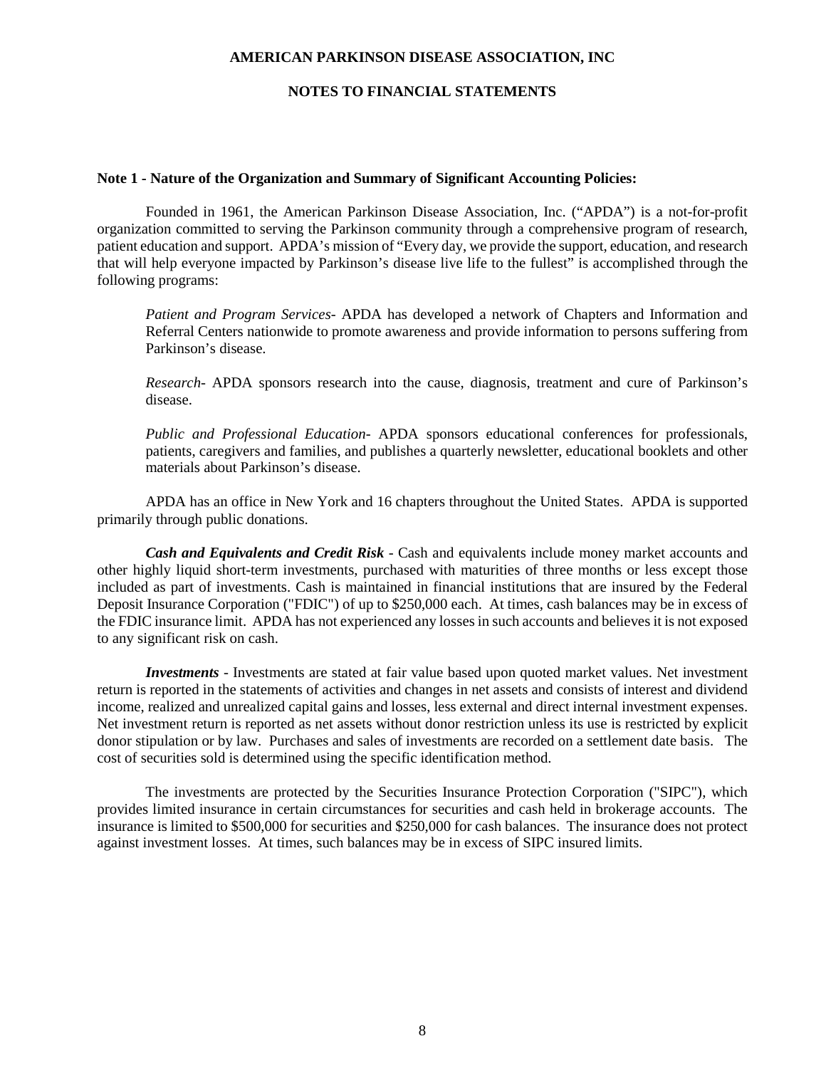### **NOTES TO FINANCIAL STATEMENTS**

### **Note 1 - Nature of the Organization and Summary of Significant Accounting Policies:**

Founded in 1961, the American Parkinson Disease Association, Inc. ("APDA") is a not-for-profit organization committed to serving the Parkinson community through a comprehensive program of research, patient education and support. APDA's mission of "Every day, we provide the support, education, and research that will help everyone impacted by Parkinson's disease live life to the fullest" is accomplished through the following programs:

*Patient and Program Services*- APDA has developed a network of Chapters and Information and Referral Centers nationwide to promote awareness and provide information to persons suffering from Parkinson's disease.

*Research*- APDA sponsors research into the cause, diagnosis, treatment and cure of Parkinson's disease.

*Public and Professional Education*- APDA sponsors educational conferences for professionals, patients, caregivers and families, and publishes a quarterly newsletter, educational booklets and other materials about Parkinson's disease.

APDA has an office in New York and 16 chapters throughout the United States. APDA is supported primarily through public donations.

*Cash and Equivalents and Credit Risk* - Cash and equivalents include money market accounts and other highly liquid short-term investments, purchased with maturities of three months or less except those included as part of investments. Cash is maintained in financial institutions that are insured by the Federal Deposit Insurance Corporation ("FDIC") of up to \$250,000 each. At times, cash balances may be in excess of the FDIC insurance limit. APDA has not experienced any losses in such accounts and believes it is not exposed to any significant risk on cash.

*Investments -* Investments are stated at fair value based upon quoted market values. Net investment return is reported in the statements of activities and changes in net assets and consists of interest and dividend income, realized and unrealized capital gains and losses, less external and direct internal investment expenses. Net investment return is reported as net assets without donor restriction unless its use is restricted by explicit donor stipulation or by law. Purchases and sales of investments are recorded on a settlement date basis. The cost of securities sold is determined using the specific identification method.

The investments are protected by the Securities Insurance Protection Corporation ("SIPC"), which provides limited insurance in certain circumstances for securities and cash held in brokerage accounts. The insurance is limited to \$500,000 for securities and \$250,000 for cash balances. The insurance does not protect against investment losses. At times, such balances may be in excess of SIPC insured limits.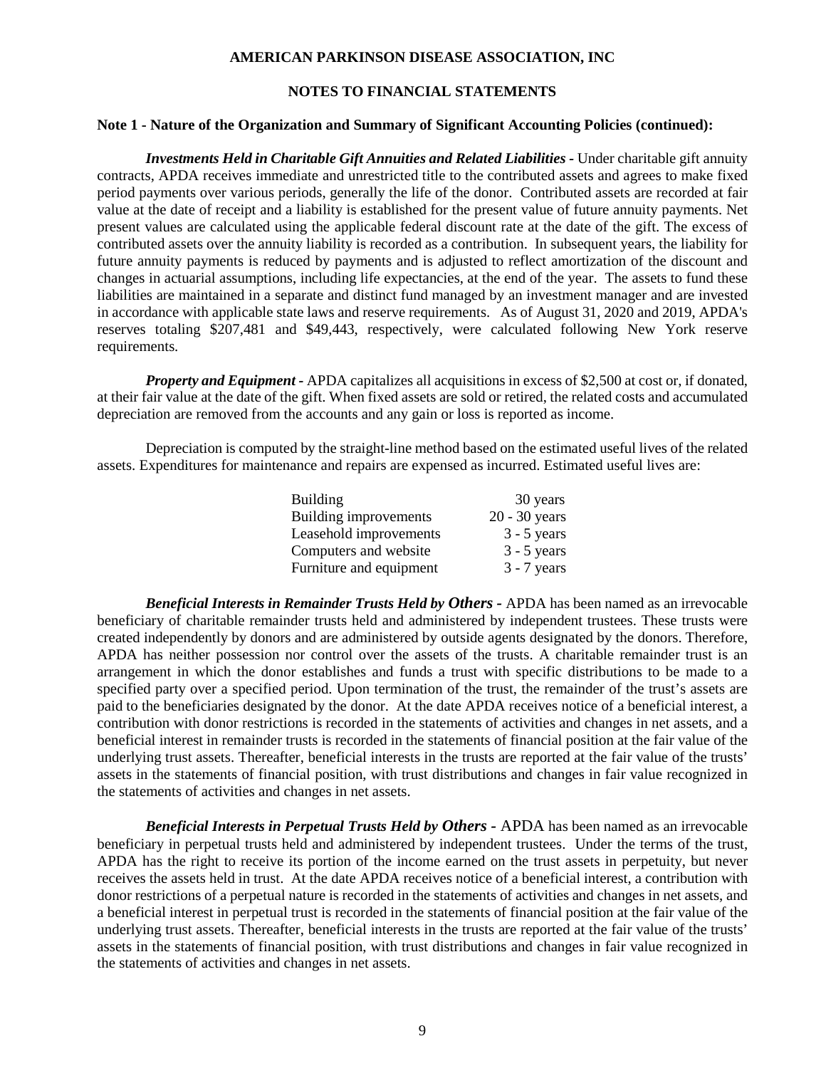## **NOTES TO FINANCIAL STATEMENTS**

### **Note 1 - Nature of the Organization and Summary of Significant Accounting Policies (continued):**

*Investments Held in Charitable Gift Annuities and Related Liabilities -* Under charitable gift annuity contracts, APDA receives immediate and unrestricted title to the contributed assets and agrees to make fixed period payments over various periods, generally the life of the donor. Contributed assets are recorded at fair value at the date of receipt and a liability is established for the present value of future annuity payments. Net present values are calculated using the applicable federal discount rate at the date of the gift. The excess of contributed assets over the annuity liability is recorded as a contribution. In subsequent years, the liability for future annuity payments is reduced by payments and is adjusted to reflect amortization of the discount and changes in actuarial assumptions, including life expectancies, at the end of the year. The assets to fund these liabilities are maintained in a separate and distinct fund managed by an investment manager and are invested in accordance with applicable state laws and reserve requirements. As of August 31, 2020 and 2019, APDA's reserves totaling \$207,481 and \$49,443, respectively, were calculated following New York reserve requirements.

*Property and Equipment -* APDA capitalizes all acquisitions in excess of \$2,500 at cost or, if donated, at their fair value at the date of the gift. When fixed assets are sold or retired, the related costs and accumulated depreciation are removed from the accounts and any gain or loss is reported as income.

Depreciation is computed by the straight-line method based on the estimated useful lives of the related assets. Expenditures for maintenance and repairs are expensed as incurred. Estimated useful lives are:

| <b>Building</b>         | 30 years        |
|-------------------------|-----------------|
| Building improvements   | $20 - 30$ years |
| Leasehold improvements  | $3 - 5$ years   |
| Computers and website   | $3 - 5$ years   |
| Furniture and equipment | $3 - 7$ years   |

*Beneficial Interests in Remainder Trusts Held by Others -* APDA has been named as an irrevocable beneficiary of charitable remainder trusts held and administered by independent trustees. These trusts were created independently by donors and are administered by outside agents designated by the donors. Therefore, APDA has neither possession nor control over the assets of the trusts. A charitable remainder trust is an arrangement in which the donor establishes and funds a trust with specific distributions to be made to a specified party over a specified period. Upon termination of the trust, the remainder of the trust's assets are paid to the beneficiaries designated by the donor. At the date APDA receives notice of a beneficial interest, a contribution with donor restrictions is recorded in the statements of activities and changes in net assets, and a beneficial interest in remainder trusts is recorded in the statements of financial position at the fair value of the underlying trust assets. Thereafter, beneficial interests in the trusts are reported at the fair value of the trusts' assets in the statements of financial position, with trust distributions and changes in fair value recognized in the statements of activities and changes in net assets.

*Beneficial Interests in Perpetual Trusts Held by Others -* APDA has been named as an irrevocable beneficiary in perpetual trusts held and administered by independent trustees. Under the terms of the trust, APDA has the right to receive its portion of the income earned on the trust assets in perpetuity, but never receives the assets held in trust. At the date APDA receives notice of a beneficial interest, a contribution with donor restrictions of a perpetual nature is recorded in the statements of activities and changes in net assets, and a beneficial interest in perpetual trust is recorded in the statements of financial position at the fair value of the underlying trust assets. Thereafter, beneficial interests in the trusts are reported at the fair value of the trusts' assets in the statements of financial position, with trust distributions and changes in fair value recognized in the statements of activities and changes in net assets.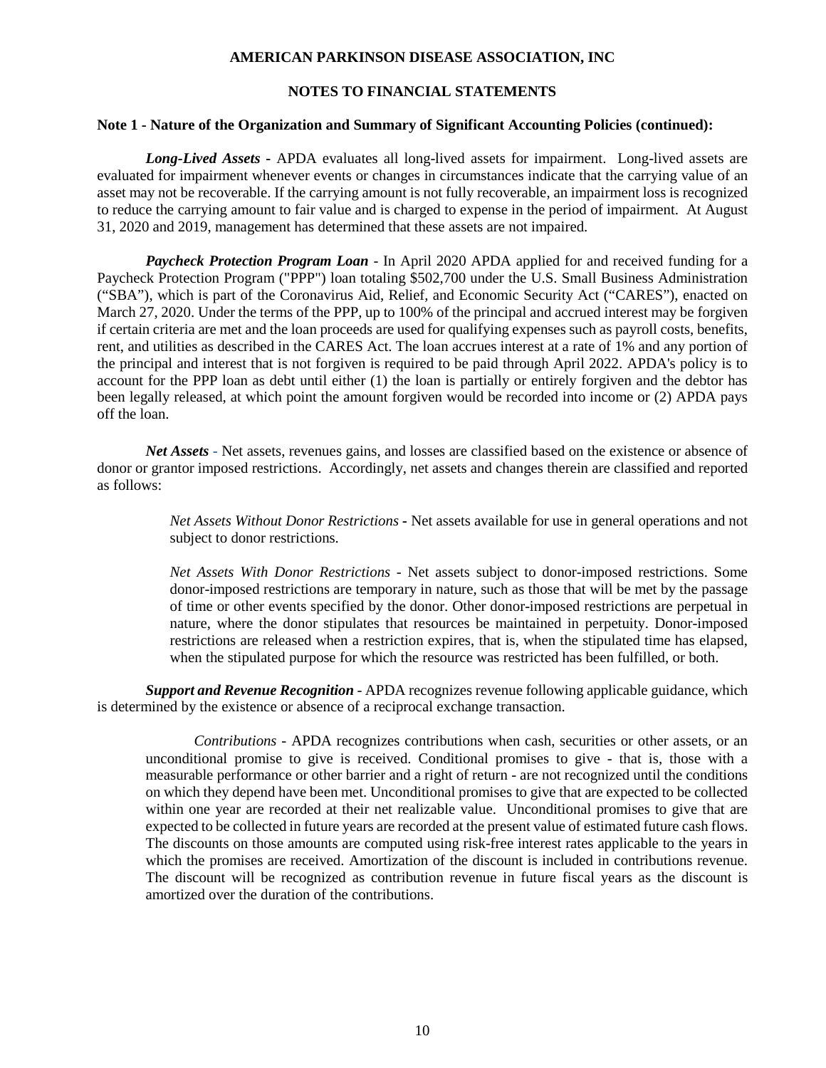## **NOTES TO FINANCIAL STATEMENTS**

### **Note 1 - Nature of the Organization and Summary of Significant Accounting Policies (continued):**

*Long-Lived Assets* **-** APDA evaluates all long-lived assets for impairment. Long-lived assets are evaluated for impairment whenever events or changes in circumstances indicate that the carrying value of an asset may not be recoverable. If the carrying amount is not fully recoverable, an impairment loss is recognized to reduce the carrying amount to fair value and is charged to expense in the period of impairment. At August 31, 2020 and 2019, management has determined that these assets are not impaired.

*Paycheck Protection Program Loan* - In April 2020 APDA applied for and received funding for a Paycheck Protection Program ("PPP") loan totaling \$502,700 under the U.S. Small Business Administration ("SBA"), which is part of the Coronavirus Aid, Relief, and Economic Security Act ("CARES"), enacted on March 27, 2020. Under the terms of the PPP, up to 100% of the principal and accrued interest may be forgiven if certain criteria are met and the loan proceeds are used for qualifying expenses such as payroll costs, benefits, rent, and utilities as described in the CARES Act. The loan accrues interest at a rate of 1% and any portion of the principal and interest that is not forgiven is required to be paid through April 2022. APDA's policy is to account for the PPP loan as debt until either (1) the loan is partially or entirely forgiven and the debtor has been legally released, at which point the amount forgiven would be recorded into income or (2) APDA pays off the loan.

*Net Assets* - Net assets, revenues gains, and losses are classified based on the existence or absence of donor or grantor imposed restrictions. Accordingly, net assets and changes therein are classified and reported as follows:

> *Net Assets Without Donor Restrictions -* Net assets available for use in general operations and not subject to donor restrictions.

> *Net Assets With Donor Restrictions -* Net assets subject to donor-imposed restrictions. Some donor-imposed restrictions are temporary in nature, such as those that will be met by the passage of time or other events specified by the donor. Other donor-imposed restrictions are perpetual in nature, where the donor stipulates that resources be maintained in perpetuity. Donor-imposed restrictions are released when a restriction expires, that is, when the stipulated time has elapsed, when the stipulated purpose for which the resource was restricted has been fulfilled, or both.

*Support and Revenue Recognition* - APDA recognizes revenue following applicable guidance, which is determined by the existence or absence of a reciprocal exchange transaction.

*Contributions -* APDA recognizes contributions when cash, securities or other assets, or an unconditional promise to give is received. Conditional promises to give - that is, those with a measurable performance or other barrier and a right of return - are not recognized until the conditions on which they depend have been met. Unconditional promises to give that are expected to be collected within one year are recorded at their net realizable value. Unconditional promises to give that are expected to be collected in future years are recorded at the present value of estimated future cash flows. The discounts on those amounts are computed using risk-free interest rates applicable to the years in which the promises are received. Amortization of the discount is included in contributions revenue. The discount will be recognized as contribution revenue in future fiscal years as the discount is amortized over the duration of the contributions.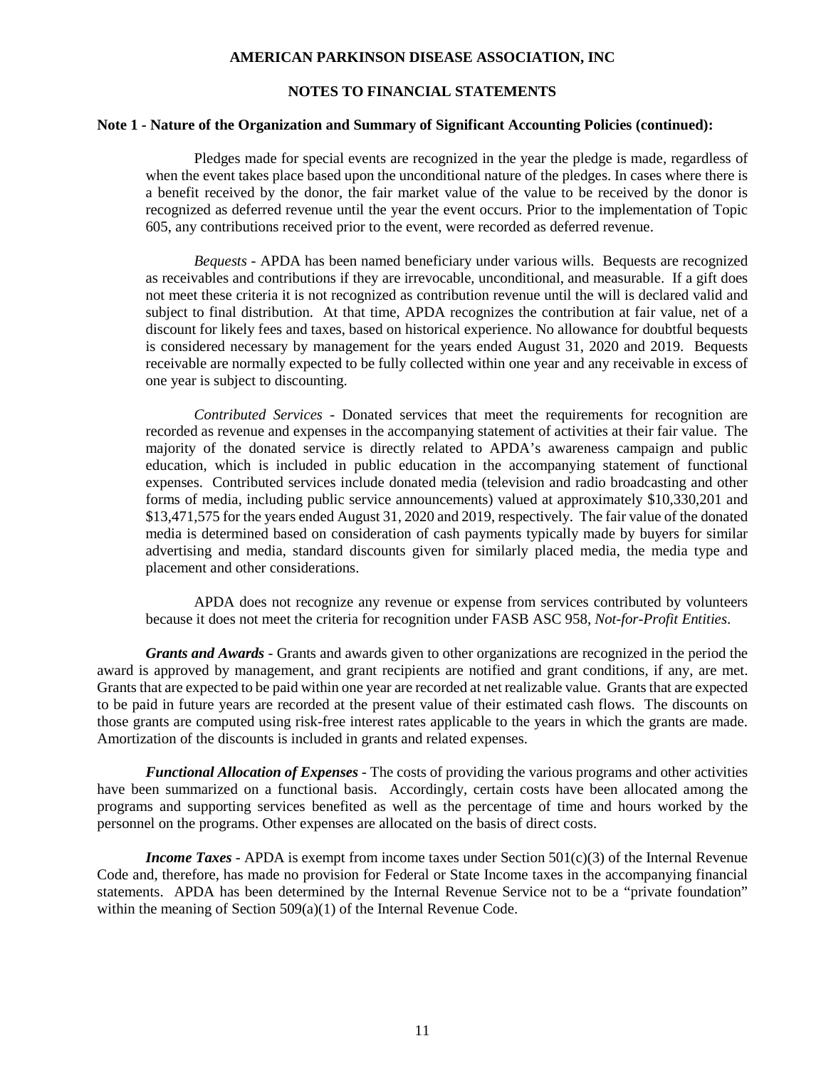## **NOTES TO FINANCIAL STATEMENTS**

### **Note 1 - Nature of the Organization and Summary of Significant Accounting Policies (continued):**

Pledges made for special events are recognized in the year the pledge is made, regardless of when the event takes place based upon the unconditional nature of the pledges. In cases where there is a benefit received by the donor, the fair market value of the value to be received by the donor is recognized as deferred revenue until the year the event occurs. Prior to the implementation of Topic 605, any contributions received prior to the event, were recorded as deferred revenue.

*Bequests -* APDA has been named beneficiary under various wills. Bequests are recognized as receivables and contributions if they are irrevocable, unconditional, and measurable. If a gift does not meet these criteria it is not recognized as contribution revenue until the will is declared valid and subject to final distribution. At that time, APDA recognizes the contribution at fair value, net of a discount for likely fees and taxes, based on historical experience. No allowance for doubtful bequests is considered necessary by management for the years ended August 31, 2020 and 2019. Bequests receivable are normally expected to be fully collected within one year and any receivable in excess of one year is subject to discounting.

*Contributed Services -* Donated services that meet the requirements for recognition are recorded as revenue and expenses in the accompanying statement of activities at their fair value. The majority of the donated service is directly related to APDA's awareness campaign and public education, which is included in public education in the accompanying statement of functional expenses. Contributed services include donated media (television and radio broadcasting and other forms of media, including public service announcements) valued at approximately \$10,330,201 and \$13,471,575 for the years ended August 31, 2020 and 2019, respectively. The fair value of the donated media is determined based on consideration of cash payments typically made by buyers for similar advertising and media, standard discounts given for similarly placed media, the media type and placement and other considerations.

APDA does not recognize any revenue or expense from services contributed by volunteers because it does not meet the criteria for recognition under FASB ASC 958, *Not-for-Profit Entities*.

*Grants and Awards -* Grants and awards given to other organizations are recognized in the period the award is approved by management, and grant recipients are notified and grant conditions, if any, are met. Grants that are expected to be paid within one year are recorded at net realizable value. Grants that are expected to be paid in future years are recorded at the present value of their estimated cash flows. The discounts on those grants are computed using risk-free interest rates applicable to the years in which the grants are made. Amortization of the discounts is included in grants and related expenses.

*Functional Allocation of Expenses -* The costs of providing the various programs and other activities have been summarized on a functional basis. Accordingly, certain costs have been allocated among the programs and supporting services benefited as well as the percentage of time and hours worked by the personnel on the programs. Other expenses are allocated on the basis of direct costs.

*Income Taxes* - APDA is exempt from income taxes under Section 501(c)(3) of the Internal Revenue Code and, therefore, has made no provision for Federal or State Income taxes in the accompanying financial statements. APDA has been determined by the Internal Revenue Service not to be a "private foundation" within the meaning of Section 509(a)(1) of the Internal Revenue Code.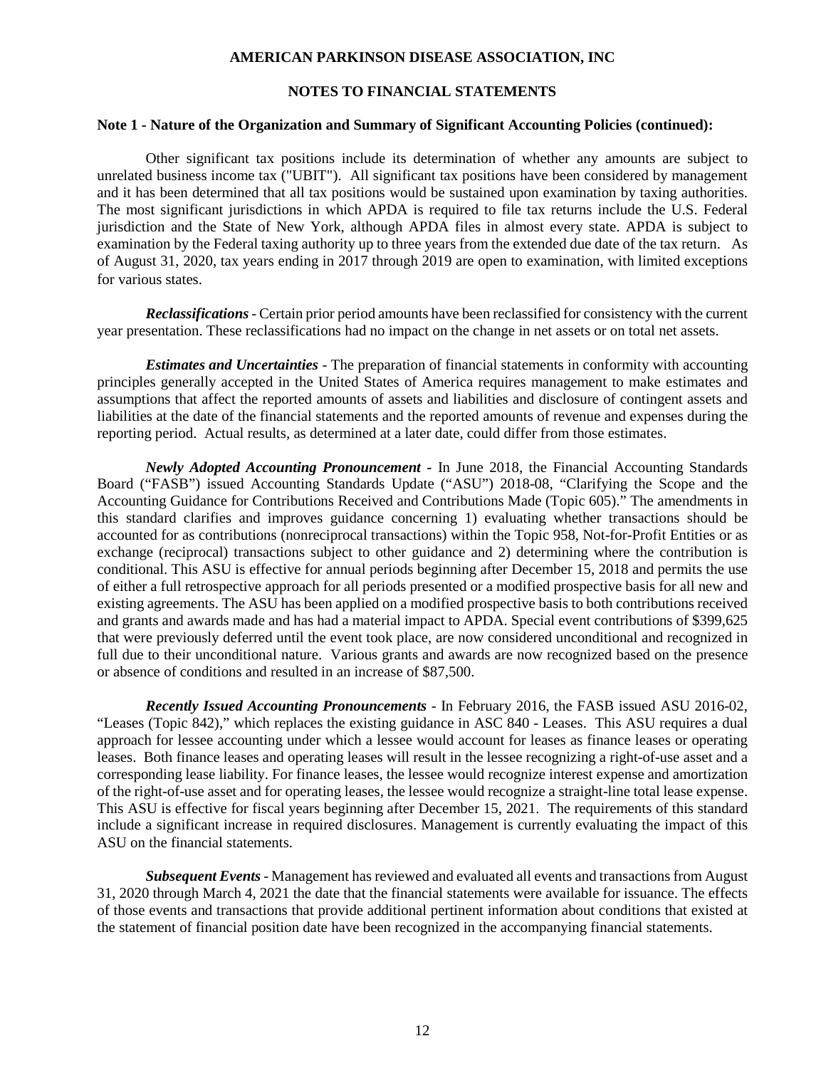## **NOTES TO FINANCIAL STATEMENTS**

#### **Note 1 - Nature of the Organization and Summary of Significant Accounting Policies (continued):**

Other significant tax positions include its determination of whether any amounts are subject to unrelated business income tax ("UBIT"). All significant tax positions have been considered by management and it has been determined that all tax positions would be sustained upon examination by taxing authorities. The most significant jurisdictions in which APDA is required to file tax returns include the U.S. Federal jurisdiction and the State of New York, although APDA files in almost every state. APDA is subject to examination by the Federal taxing authority up to three years from the extended due date of the tax return. As of August 31, 2020, tax years ending in 2017 through 2019 are open to examination, with limited exceptions for various states.

*Reclassifications*- Certain prior period amounts have been reclassified for consistency with the current year presentation. These reclassifications had no impact on the change in net assets or on total net assets.

*Estimates and Uncertainties -* The preparation of financial statements in conformity with accounting principles generally accepted in the United States of America requires management to make estimates and assumptions that affect the reported amounts of assets and liabilities and disclosure of contingent assets and liabilities at the date of the financial statements and the reported amounts of revenue and expenses during the reporting period. Actual results, as determined at a later date, could differ from those estimates.

*Newly Adopted Accounting Pronouncement -* In June 2018, the Financial Accounting Standards Board ("FASB") issued Accounting Standards Update ("ASU") 2018-08, "Clarifying the Scope and the Accounting Guidance for Contributions Received and Contributions Made (Topic 605)." The amendments in this standard clarifies and improves guidance concerning 1) evaluating whether transactions should be accounted for as contributions (nonreciprocal transactions) within the Topic 958, Not-for-Profit Entities or as exchange (reciprocal) transactions subject to other guidance and 2) determining where the contribution is conditional. This ASU is effective for annual periods beginning after December 15, 2018 and permits the use of either a full retrospective approach for all periods presented or a modified prospective basis for all new and existing agreements. The ASU has been applied on a modified prospective basis to both contributions received and grants and awards made and has had a material impact to APDA. Special event contributions of \$399,625 that were previously deferred until the event took place, are now considered unconditional and recognized in full due to their unconditional nature. Various grants and awards are now recognized based on the presence or absence of conditions and resulted in an increase of \$87,500.

*Recently Issued Accounting Pronouncements* - In February 2016, the FASB issued ASU 2016-02, "Leases (Topic 842)," which replaces the existing guidance in ASC 840 - Leases. This ASU requires a dual approach for lessee accounting under which a lessee would account for leases as finance leases or operating leases. Both finance leases and operating leases will result in the lessee recognizing a right-of-use asset and a corresponding lease liability. For finance leases, the lessee would recognize interest expense and amortization of the right-of-use asset and for operating leases, the lessee would recognize a straight-line total lease expense. This ASU is effective for fiscal years beginning after December 15, 2021. The requirements of this standard include a significant increase in required disclosures. Management is currently evaluating the impact of this ASU on the financial statements.

*Subsequent Events* - Management has reviewed and evaluated all events and transactions from August 31, 2020 through March 4, 2021 the date that the financial statements were available for issuance. The effects of those events and transactions that provide additional pertinent information about conditions that existed at the statement of financial position date have been recognized in the accompanying financial statements.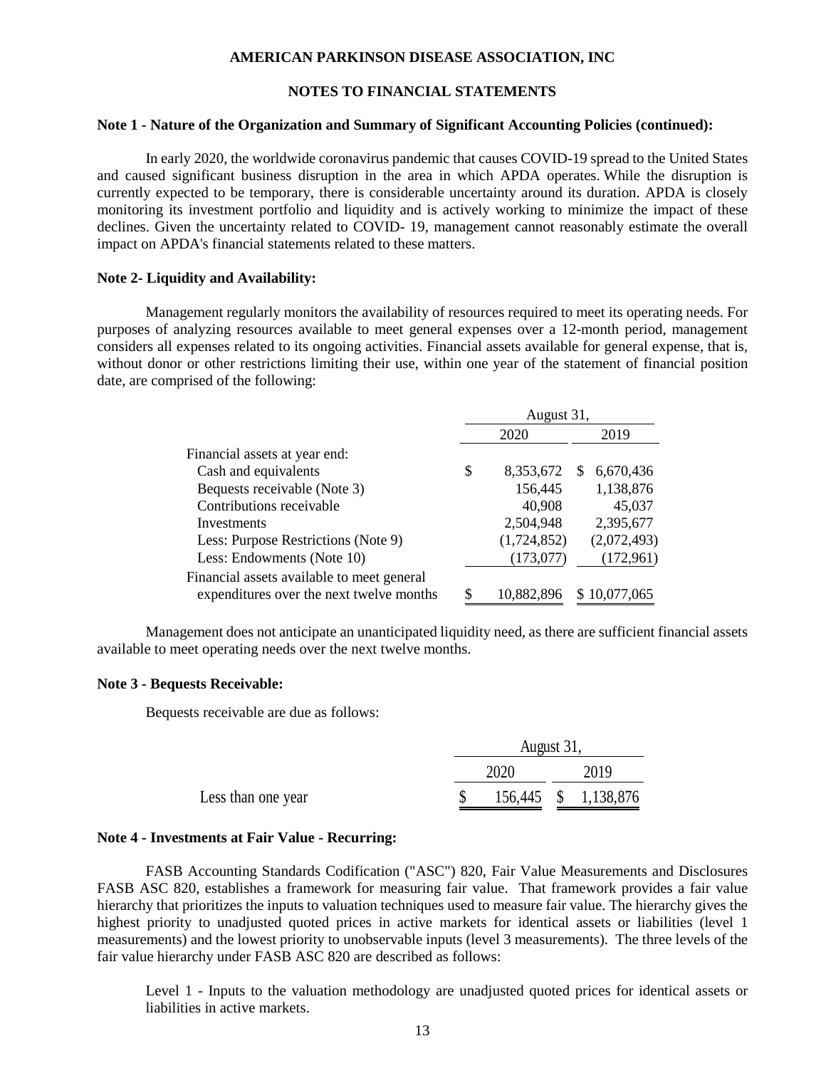## **NOTES TO FINANCIAL STATEMENTS**

### **Note 1 - Nature of the Organization and Summary of Significant Accounting Policies (continued):**

In early 2020, the worldwide coronavirus pandemic that causes COVID-19 spread to the United States and caused significant business disruption in the area in which APDA operates. While the disruption is currently expected to be temporary, there is considerable uncertainty around its duration. APDA is closely monitoring its investment portfolio and liquidity and is actively working to minimize the impact of these declines. Given the uncertainty related to COVID- 19, management cannot reasonably estimate the overall impact on APDA's financial statements related to these matters.

### **Note 2- Liquidity and Availability:**

Management regularly monitors the availability of resources required to meet its operating needs. For purposes of analyzing resources available to meet general expenses over a 12-month period, management considers all expenses related to its ongoing activities. Financial assets available for general expense, that is, without donor or other restrictions limiting their use, within one year of the statement of financial position date, are comprised of the following:

|                                            | August 31, |             |                  |  |  |  |  |
|--------------------------------------------|------------|-------------|------------------|--|--|--|--|
|                                            |            | 2020        | 2019             |  |  |  |  |
| Financial assets at year end:              |            |             |                  |  |  |  |  |
| Cash and equivalents                       | \$         | 8,353,672   | 6,670,436<br>\$. |  |  |  |  |
| Bequests receivable (Note 3)               |            | 156,445     | 1,138,876        |  |  |  |  |
| Contributions receivable                   |            | 40,908      | 45,037           |  |  |  |  |
| Investments                                |            | 2,504,948   | 2,395,677        |  |  |  |  |
| Less: Purpose Restrictions (Note 9)        |            | (1,724,852) | (2,072,493)      |  |  |  |  |
| Less: Endowments (Note 10)                 |            | (173, 077)  | (172,961)        |  |  |  |  |
| Financial assets available to meet general |            |             |                  |  |  |  |  |
| expenditures over the next twelve months   | ς          | 10,882,896  | \$10,077,065     |  |  |  |  |

Management does not anticipate an unanticipated liquidity need, as there are sufficient financial assets available to meet operating needs over the next twelve months.

### **Note 3 - Bequests Receivable:**

Bequests receivable are due as follows:

|                    | August 31, |  |                      |  |  |  |  |
|--------------------|------------|--|----------------------|--|--|--|--|
|                    | 2020       |  | 2019                 |  |  |  |  |
| Less than one year |            |  | 156,445 \$ 1,138,876 |  |  |  |  |

## **Note 4 - Investments at Fair Value - Recurring:**

FASB Accounting Standards Codification ("ASC") 820, Fair Value Measurements and Disclosures FASB ASC 820, establishes a framework for measuring fair value. That framework provides a fair value hierarchy that prioritizes the inputs to valuation techniques used to measure fair value. The hierarchy gives the highest priority to unadjusted quoted prices in active markets for identical assets or liabilities (level 1 measurements) and the lowest priority to unobservable inputs (level 3 measurements). The three levels of the fair value hierarchy under FASB ASC 820 are described as follows:

Level 1 - Inputs to the valuation methodology are unadjusted quoted prices for identical assets or liabilities in active markets.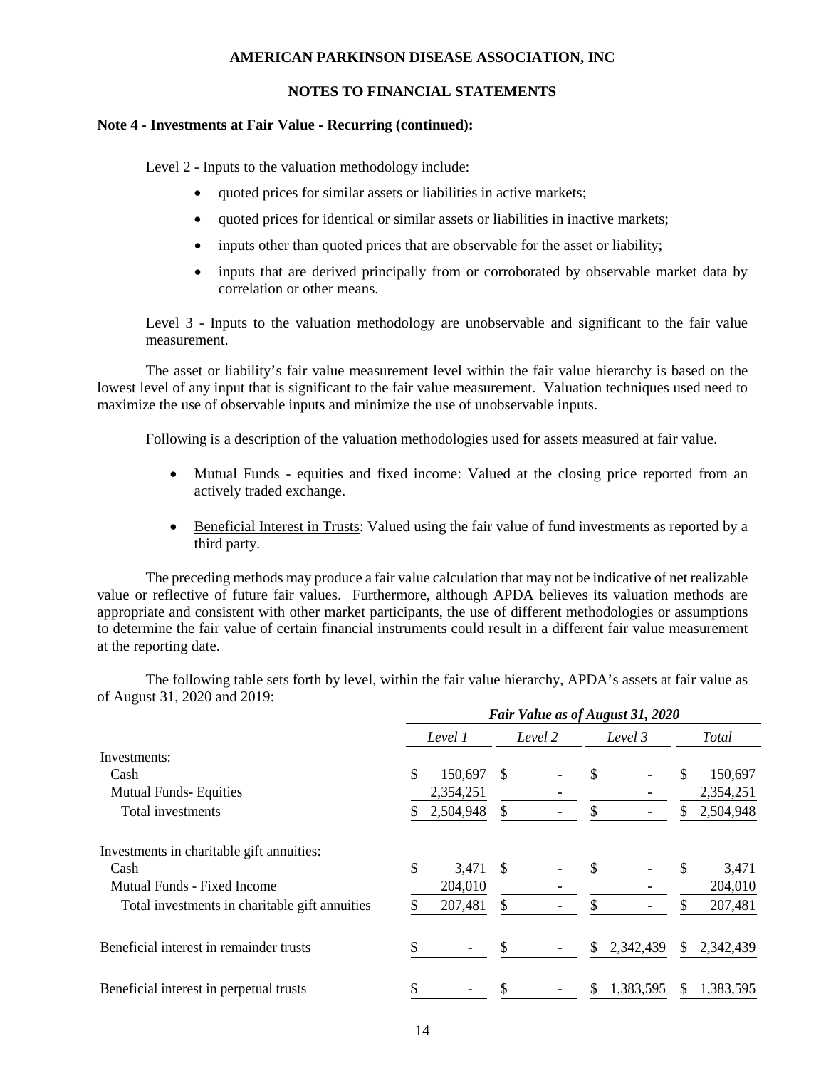## **NOTES TO FINANCIAL STATEMENTS**

### **Note 4 - Investments at Fair Value - Recurring (continued):**

Level 2 - Inputs to the valuation methodology include:

- quoted prices for similar assets or liabilities in active markets;
- quoted prices for identical or similar assets or liabilities in inactive markets;
- inputs other than quoted prices that are observable for the asset or liability;
- inputs that are derived principally from or corroborated by observable market data by correlation or other means.

Level 3 - Inputs to the valuation methodology are unobservable and significant to the fair value measurement.

The asset or liability's fair value measurement level within the fair value hierarchy is based on the lowest level of any input that is significant to the fair value measurement. Valuation techniques used need to maximize the use of observable inputs and minimize the use of unobservable inputs.

Following is a description of the valuation methodologies used for assets measured at fair value.

- Mutual Funds equities and fixed income: Valued at the closing price reported from an actively traded exchange.
- Beneficial Interest in Trusts: Valued using the fair value of fund investments as reported by a third party.

The preceding methods may produce a fair value calculation that may not be indicative of net realizable value or reflective of future fair values. Furthermore, although APDA believes its valuation methods are appropriate and consistent with other market participants, the use of different methodologies or assumptions to determine the fair value of certain financial instruments could result in a different fair value measurement at the reporting date.

The following table sets forth by level, within the fair value hierarchy, APDA's assets at fair value as of August 31, 2020 and 2019:

|                                                | <b>Fair Value as of August 31, 2020</b> |           |               |         |     |           |    |              |  |  |
|------------------------------------------------|-----------------------------------------|-----------|---------------|---------|-----|-----------|----|--------------|--|--|
|                                                |                                         | Level 1   |               | Level 2 |     | Level 3   |    | <b>Total</b> |  |  |
| Investments:                                   |                                         |           |               |         |     |           |    |              |  |  |
| Cash                                           | \$                                      | 150,697   | <sup>\$</sup> |         | \$. |           | \$ | 150,697      |  |  |
| <b>Mutual Funds-Equities</b>                   |                                         | 2,354,251 |               |         |     |           |    | 2,354,251    |  |  |
| Total investments                              | S                                       | 2,504,948 | \$            |         |     |           |    | 2,504,948    |  |  |
| Investments in charitable gift annuities:      |                                         |           |               |         |     |           |    |              |  |  |
| Cash                                           | \$                                      | 3,471     | $\mathcal{S}$ |         | \$. |           | \$ | 3,471        |  |  |
| Mutual Funds - Fixed Income                    |                                         | 204,010   |               |         |     |           |    | 204,010      |  |  |
| Total investments in charitable gift annuities |                                         | 207,481   | \$            |         |     |           |    | 207,481      |  |  |
| Beneficial interest in remainder trusts        |                                         |           |               |         |     | 2,342,439 |    | 2,342,439    |  |  |
| Beneficial interest in perpetual trusts        |                                         |           |               |         |     | 1,383,595 |    | 1,383,595    |  |  |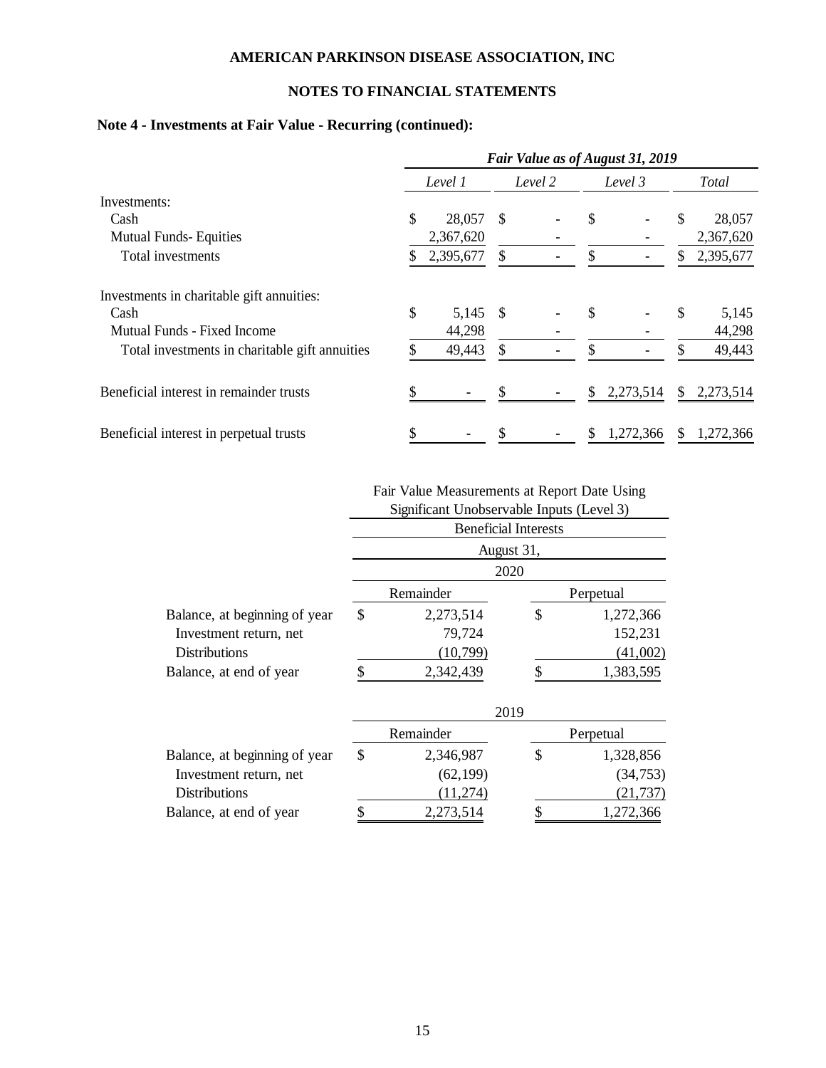# **NOTES TO FINANCIAL STATEMENTS**

# **Note 4 - Investments at Fair Value - Recurring (continued):**

|                                                | Fair Value as of August 31, 2019 |            |               |  |    |           |               |           |  |
|------------------------------------------------|----------------------------------|------------|---------------|--|----|-----------|---------------|-----------|--|
|                                                |                                  | Level 1    | Level 2       |  |    | Level 3   |               | Total     |  |
| Investments:                                   |                                  |            |               |  |    |           |               |           |  |
| Cash                                           | \$                               | 28,057     | <sup>\$</sup> |  | \$ |           | \$            | 28,057    |  |
| <b>Mutual Funds-Equities</b>                   |                                  | 2,367,620  |               |  |    |           |               | 2,367,620 |  |
| Total investments                              |                                  | 2,395,677  | \$            |  |    |           | \$            | 2,395,677 |  |
| Investments in charitable gift annuities:      |                                  |            |               |  |    |           |               |           |  |
| Cash                                           | \$                               | $5,145$ \$ |               |  | \$ |           | \$            | 5,145     |  |
| <b>Mutual Funds - Fixed Income</b>             |                                  | 44,298     |               |  |    |           |               | 44,298    |  |
| Total investments in charitable gift annuities |                                  | 49,443     | \$            |  | ¢  |           |               | 49,443    |  |
| Beneficial interest in remainder trusts        |                                  |            |               |  |    | 2,273,514 | $\mathcal{S}$ | 2,273,514 |  |
| Beneficial interest in perpetual trusts        |                                  |            |               |  |    | 1,272,366 | \$.           | 1,272,366 |  |

# Fair Value Measurements at Report Date Using

|                               |      | Significant Unobservable Inputs (Level 3) |           |           |  |  |  |  |  |  |  |
|-------------------------------|------|-------------------------------------------|-----------|-----------|--|--|--|--|--|--|--|
|                               |      | <b>Beneficial Interests</b>               |           |           |  |  |  |  |  |  |  |
|                               |      | August 31,                                |           |           |  |  |  |  |  |  |  |
|                               | 2020 |                                           |           |           |  |  |  |  |  |  |  |
|                               |      | Remainder                                 | Perpetual |           |  |  |  |  |  |  |  |
| Balance, at beginning of year | \$   | 2,273,514                                 | \$        | 1,272,366 |  |  |  |  |  |  |  |
| Investment return, net        |      | 79,724                                    |           | 152,231   |  |  |  |  |  |  |  |
| <b>Distributions</b>          |      | (10,799)                                  |           | (41,002)  |  |  |  |  |  |  |  |
| Balance, at end of year       |      | 2,342,439                                 |           | 1,383,595 |  |  |  |  |  |  |  |

|                               | 2019 |           |  |           |  |  |
|-------------------------------|------|-----------|--|-----------|--|--|
|                               |      | Remainder |  | Perpetual |  |  |
| Balance, at beginning of year |      | 2,346,987 |  | 1,328,856 |  |  |
| Investment return, net        |      | (62, 199) |  | (34, 753) |  |  |
| <b>Distributions</b>          |      | (11,274)  |  | (21, 737) |  |  |
| Balance, at end of year       |      | 2,273,514 |  | 1,272,366 |  |  |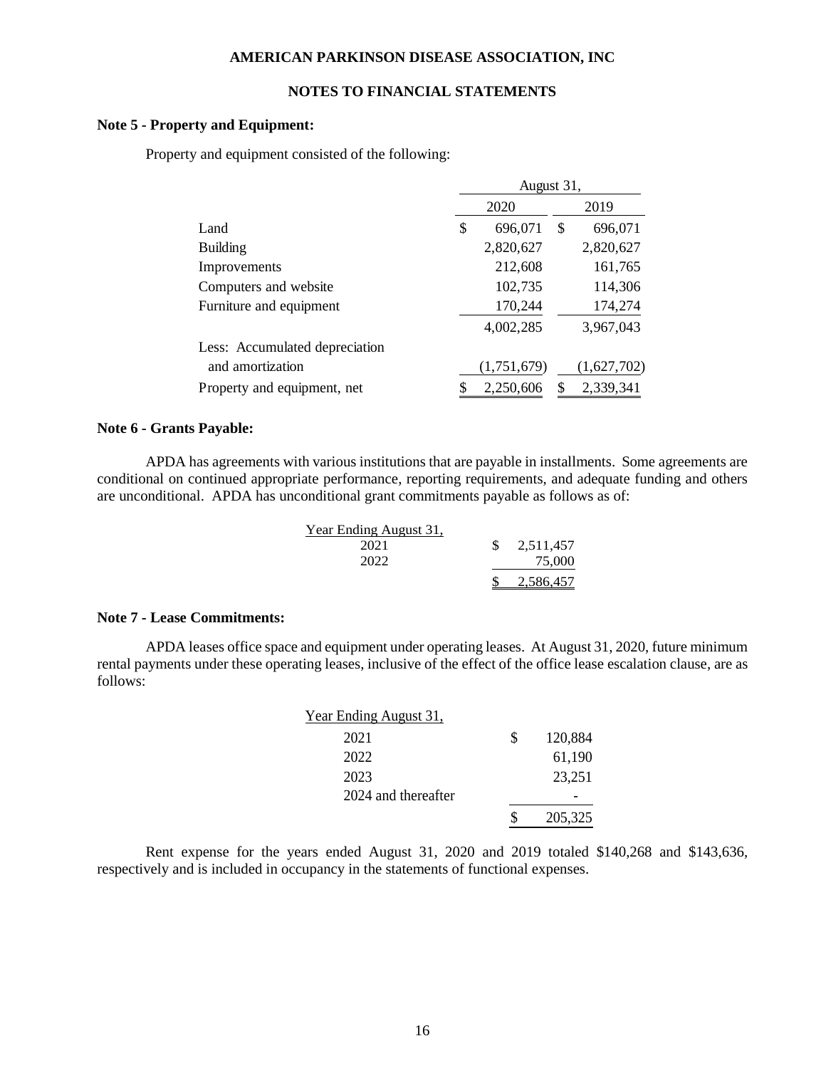## **NOTES TO FINANCIAL STATEMENTS**

### **Note 5 - Property and Equipment:**

Property and equipment consisted of the following:

|                                | August 31, |             |    |             |  |  |
|--------------------------------|------------|-------------|----|-------------|--|--|
|                                | 2020       |             |    | 2019        |  |  |
| Land                           | \$         | 696,071     | \$ | 696,071     |  |  |
| <b>Building</b>                |            | 2,820,627   |    | 2,820,627   |  |  |
| Improvements                   |            | 212,608     |    | 161,765     |  |  |
| Computers and website          |            | 102,735     |    | 114,306     |  |  |
| Furniture and equipment        |            | 170,244     |    | 174,274     |  |  |
|                                |            | 4,002,285   |    | 3,967,043   |  |  |
| Less: Accumulated depreciation |            |             |    |             |  |  |
| and amortization               |            | (1,751,679) |    | (1,627,702) |  |  |
| Property and equipment, net    |            | 2,250,606   |    | 2,339,341   |  |  |

### **Note 6 - Grants Payable:**

APDA has agreements with various institutions that are payable in installments. Some agreements are conditional on continued appropriate performance, reporting requirements, and adequate funding and others are unconditional. APDA has unconditional grant commitments payable as follows as of:

| <u>Year Ending August 31,</u> |           |
|-------------------------------|-----------|
| 2021                          | 2,511,457 |
| 2022                          | 75,000    |
|                               | 2,586,457 |
|                               |           |

## **Note 7 - Lease Commitments:**

APDA leases office space and equipment under operating leases. At August 31, 2020, future minimum rental payments under these operating leases, inclusive of the effect of the office lease escalation clause, are as follows:

| Year Ending August 31, |   |         |
|------------------------|---|---------|
| 2021                   | S | 120,884 |
| 2022                   |   | 61,190  |
| 2023                   |   | 23,251  |
| 2024 and thereafter    |   |         |
|                        |   | 205,325 |

Rent expense for the years ended August 31, 2020 and 2019 totaled \$140,268 and \$143,636, respectively and is included in occupancy in the statements of functional expenses.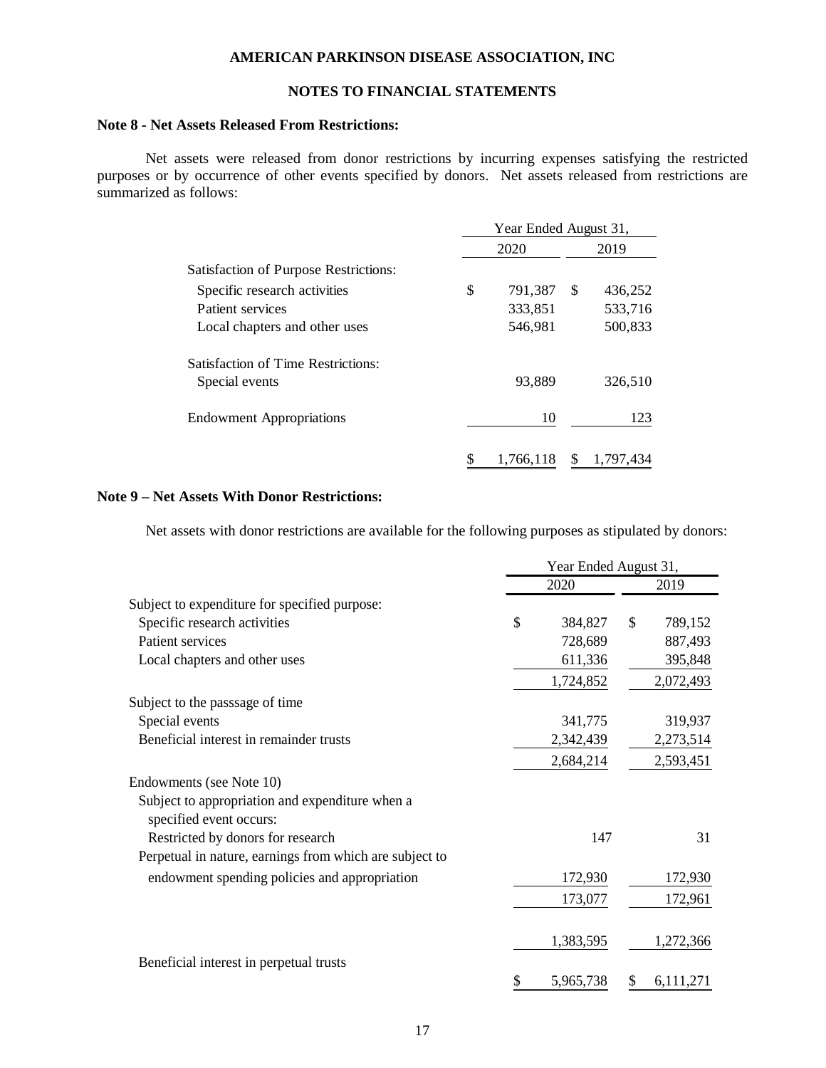## **NOTES TO FINANCIAL STATEMENTS**

### **Note 8 - Net Assets Released From Restrictions:**

Net assets were released from donor restrictions by incurring expenses satisfying the restricted purposes or by occurrence of other events specified by donors. Net assets released from restrictions are summarized as follows:

|                                           | Year Ended August 31, |           |               |           |  |
|-------------------------------------------|-----------------------|-----------|---------------|-----------|--|
|                                           | 2020                  |           |               | 2019      |  |
| Satisfaction of Purpose Restrictions:     |                       |           |               |           |  |
| Specific research activities              | \$                    | 791,387   | <sup>\$</sup> | 436.252   |  |
| Patient services                          |                       | 333,851   |               | 533,716   |  |
| Local chapters and other uses             |                       | 546,981   |               | 500,833   |  |
| <b>Satisfaction of Time Restrictions:</b> |                       |           |               |           |  |
| Special events                            |                       | 93.889    |               | 326.510   |  |
| <b>Endowment Appropriations</b>           |                       | 10        |               | 123       |  |
|                                           | \$                    | 1.766.118 | <sup>S</sup>  | 1,797,434 |  |

## **Note 9 – Net Assets With Donor Restrictions:**

Net assets with donor restrictions are available for the following purposes as stipulated by donors:

|                                                                            | Year Ended August 31, |           |    |           |  |
|----------------------------------------------------------------------------|-----------------------|-----------|----|-----------|--|
|                                                                            |                       | 2020      |    | 2019      |  |
| Subject to expenditure for specified purpose:                              |                       |           |    |           |  |
| Specific research activities                                               | \$                    | 384,827   | \$ | 789,152   |  |
| Patient services                                                           |                       | 728,689   |    | 887,493   |  |
| Local chapters and other uses                                              |                       | 611,336   |    | 395,848   |  |
|                                                                            |                       | 1,724,852 |    | 2,072,493 |  |
| Subject to the passage of time                                             |                       |           |    |           |  |
| Special events                                                             |                       | 341,775   |    | 319,937   |  |
| Beneficial interest in remainder trusts                                    |                       | 2,342,439 |    | 2,273,514 |  |
|                                                                            |                       | 2,684,214 |    | 2,593,451 |  |
| Endowments (see Note 10)                                                   |                       |           |    |           |  |
| Subject to appropriation and expenditure when a<br>specified event occurs: |                       |           |    |           |  |
| Restricted by donors for research                                          |                       | 147       |    | 31        |  |
| Perpetual in nature, earnings from which are subject to                    |                       |           |    |           |  |
| endowment spending policies and appropriation                              |                       | 172,930   |    | 172,930   |  |
|                                                                            |                       | 173,077   |    | 172,961   |  |
|                                                                            |                       | 1,383,595 |    | 1,272,366 |  |
| Beneficial interest in perpetual trusts                                    | \$                    | 5,965,738 | \$ | 6,111,271 |  |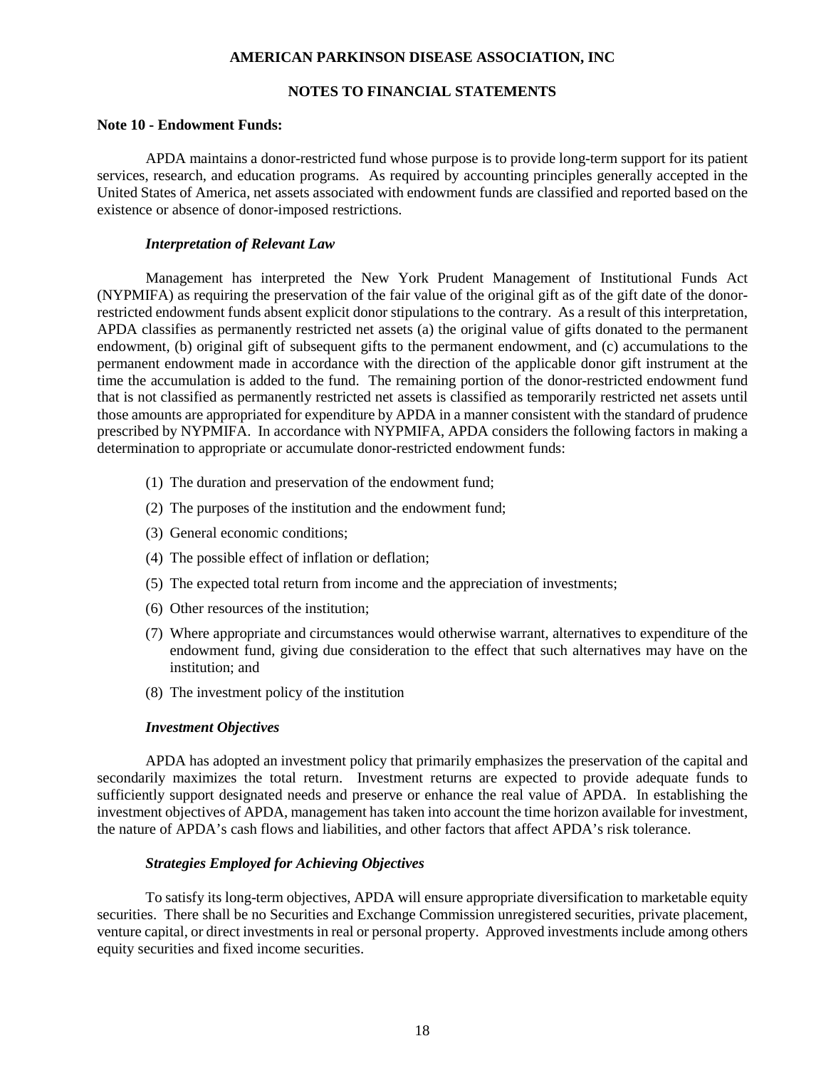## **NOTES TO FINANCIAL STATEMENTS**

### **Note 10 - Endowment Funds:**

APDA maintains a donor-restricted fund whose purpose is to provide long-term support for its patient services, research, and education programs. As required by accounting principles generally accepted in the United States of America, net assets associated with endowment funds are classified and reported based on the existence or absence of donor-imposed restrictions.

## *Interpretation of Relevant Law*

Management has interpreted the New York Prudent Management of Institutional Funds Act (NYPMIFA) as requiring the preservation of the fair value of the original gift as of the gift date of the donorrestricted endowment funds absent explicit donor stipulations to the contrary. As a result of this interpretation, APDA classifies as permanently restricted net assets (a) the original value of gifts donated to the permanent endowment, (b) original gift of subsequent gifts to the permanent endowment, and (c) accumulations to the permanent endowment made in accordance with the direction of the applicable donor gift instrument at the time the accumulation is added to the fund. The remaining portion of the donor-restricted endowment fund that is not classified as permanently restricted net assets is classified as temporarily restricted net assets until those amounts are appropriated for expenditure by APDA in a manner consistent with the standard of prudence prescribed by NYPMIFA. In accordance with NYPMIFA, APDA considers the following factors in making a determination to appropriate or accumulate donor-restricted endowment funds:

- (1) The duration and preservation of the endowment fund;
- (2) The purposes of the institution and the endowment fund;
- (3) General economic conditions;
- (4) The possible effect of inflation or deflation;
- (5) The expected total return from income and the appreciation of investments;
- (6) Other resources of the institution;
- (7) Where appropriate and circumstances would otherwise warrant, alternatives to expenditure of the endowment fund, giving due consideration to the effect that such alternatives may have on the institution; and
- (8) The investment policy of the institution

### *Investment Objectives*

APDA has adopted an investment policy that primarily emphasizes the preservation of the capital and secondarily maximizes the total return. Investment returns are expected to provide adequate funds to sufficiently support designated needs and preserve or enhance the real value of APDA. In establishing the investment objectives of APDA, management has taken into account the time horizon available for investment, the nature of APDA's cash flows and liabilities, and other factors that affect APDA's risk tolerance.

## *Strategies Employed for Achieving Objectives*

To satisfy its long-term objectives, APDA will ensure appropriate diversification to marketable equity securities. There shall be no Securities and Exchange Commission unregistered securities, private placement, venture capital, or direct investments in real or personal property. Approved investments include among others equity securities and fixed income securities.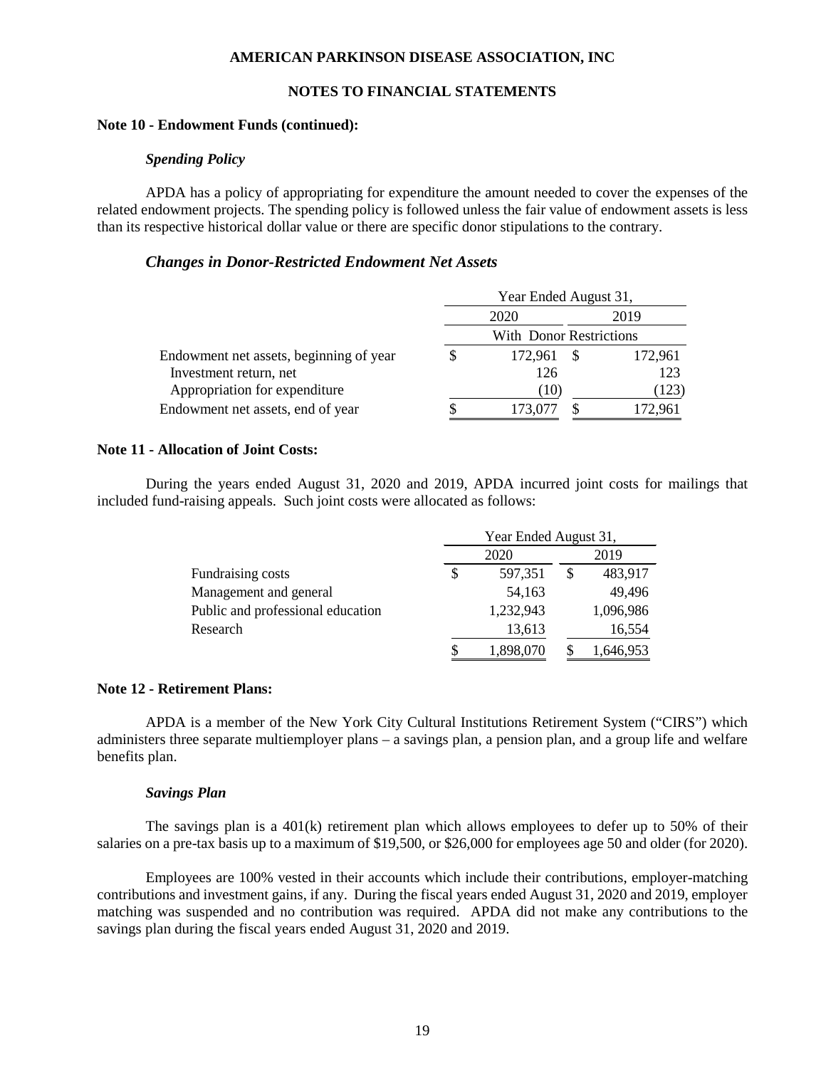### **NOTES TO FINANCIAL STATEMENTS**

#### **Note 10 - Endowment Funds (continued):**

### *Spending Policy*

APDA has a policy of appropriating for expenditure the amount needed to cover the expenses of the related endowment projects. The spending policy is followed unless the fair value of endowment assets is less than its respective historical dollar value or there are specific donor stipulations to the contrary.

## *Changes in Donor-Restricted Endowment Net Assets*

|                                         | Year Ended August 31,   |         |      |         |  |  |  |
|-----------------------------------------|-------------------------|---------|------|---------|--|--|--|
|                                         |                         | 2020    | 2019 |         |  |  |  |
|                                         | With Donor Restrictions |         |      |         |  |  |  |
| Endowment net assets, beginning of year |                         | 172,961 |      | 172,961 |  |  |  |
| Investment return, net                  |                         | 126     |      | 123     |  |  |  |
| Appropriation for expenditure           |                         | (10)    |      | (123)   |  |  |  |
| Endowment net assets, end of year       |                         | 173.07  |      | 172,961 |  |  |  |

### **Note 11 - Allocation of Joint Costs:**

During the years ended August 31, 2020 and 2019, APDA incurred joint costs for mailings that included fund-raising appeals. Such joint costs were allocated as follows:

|                                   | Year Ended August 31, |           |  |           |  |  |
|-----------------------------------|-----------------------|-----------|--|-----------|--|--|
|                                   | 2020                  |           |  | 2019      |  |  |
| Fundraising costs                 |                       | 597,351   |  | 483,917   |  |  |
| Management and general            |                       | 54,163    |  | 49,496    |  |  |
| Public and professional education |                       | 1,232,943 |  | 1,096,986 |  |  |
| Research                          |                       | 13,613    |  | 16,554    |  |  |
|                                   |                       | 1,898,070 |  | 1,646,953 |  |  |

## **Note 12 - Retirement Plans:**

APDA is a member of the New York City Cultural Institutions Retirement System ("CIRS") which administers three separate multiemployer plans – a savings plan, a pension plan, and a group life and welfare benefits plan.

### *Savings Plan*

The savings plan is a 401(k) retirement plan which allows employees to defer up to 50% of their salaries on a pre-tax basis up to a maximum of \$19,500, or \$26,000 for employees age 50 and older (for 2020).

Employees are 100% vested in their accounts which include their contributions, employer-matching contributions and investment gains, if any. During the fiscal years ended August 31, 2020 and 2019, employer matching was suspended and no contribution was required. APDA did not make any contributions to the savings plan during the fiscal years ended August 31, 2020 and 2019.